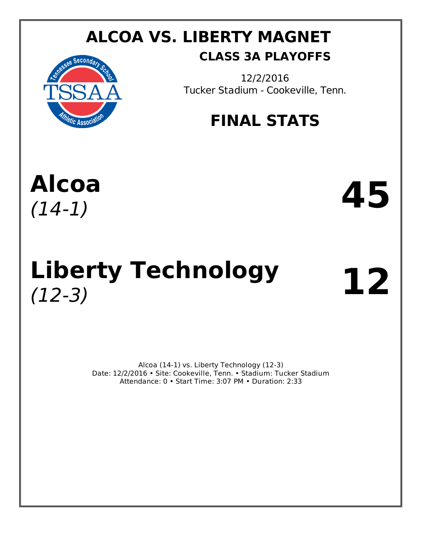## **ALCOA VS. LIBERTY MAGNET CLASS 3A PLAYOFFS**



12/2/2016 Tucker Stadium - Cookeville, Tenn.

## **FINAL STATS**

# **Alcoa** Alcoa **45**

# Liberty Technology 12

Alcoa (14-1) vs. Liberty Technology (12-3) Date: 12/2/2016 • Site: Cookeville, Tenn. • Stadium: Tucker Stadium Attendance: 0 • Start Time: 3:07 PM • Duration: 2:33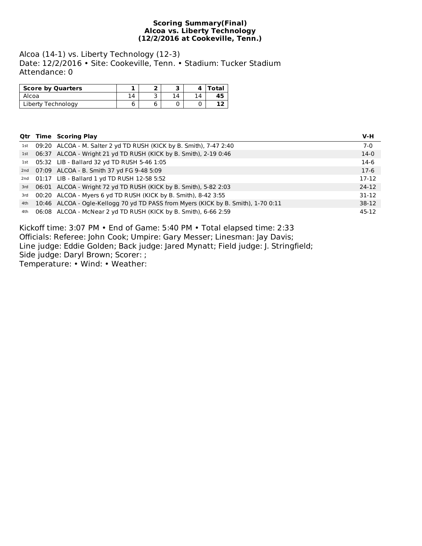#### **Scoring Summary(Final) Alcoa vs. Liberty Technology (12/2/2016 at Cookeville, Tenn.)**

Alcoa (14-1) vs. Liberty Technology (12-3) Date: 12/2/2016 • Site: Cookeville, Tenn. • Stadium: Tucker Stadium Attendance: 0

| <b>Score by Quarters</b> |    |    | Total |
|--------------------------|----|----|-------|
| Alcoa                    | 14 | 14 | 45    |
| Liberty Technology       |    |    |       |

|     | <b>Qtr Time Scoring Play</b>                                                      | $V-H$     |
|-----|-----------------------------------------------------------------------------------|-----------|
|     | 1st 09:20 ALCOA - M. Salter 2 yd TD RUSH (KICK by B. Smith), 7-47 2:40            | $7-0$     |
|     | 1st 06:37 ALCOA - Wright 21 yd TD RUSH (KICK by B. Smith), 2-19 0:46              | $14-0$    |
|     | 1st 05:32 LIB - Ballard 32 yd TD RUSH 5-46 1:05                                   | $14-6$    |
| 2nd | 07:09 ALCOA - B. Smith 37 yd FG 9-48 5:09                                         | $17-6$    |
| 2nd | 01:17 LIB - Ballard 1 yd TD RUSH 12-58 5:52                                       | $17-12$   |
| 3rd | 06:01 ALCOA - Wright 72 yd TD RUSH (KICK by B. Smith), 5-82 2:03                  | $24-12$   |
| 3rd | 00:20 ALCOA - Myers 6 yd TD RUSH (KICK by B. Smith), 8-42 3:55                    | $31 - 12$ |
| 4th | 10:46 ALCOA - Ogle-Kellogg 70 yd TD PASS from Myers (KICK by B. Smith), 1-70 0:11 | $38-12$   |
| 4th | 06:08 ALCOA - McNear 2 yd TD RUSH (KICK by B. Smith), 6-66 2:59                   | 45-12     |

Kickoff time: 3:07 PM • End of Game: 5:40 PM • Total elapsed time: 2:33 Officials: Referee: John Cook; Umpire: Gary Messer; Linesman: Jay Davis; Line judge: Eddie Golden; Back judge: Jared Mynatt; Field judge: J. Stringfield; Side judge: Daryl Brown; Scorer: ; Temperature: • Wind: • Weather: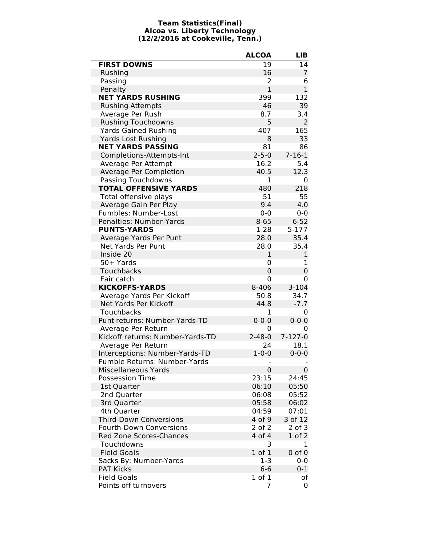#### **Team Statistics(Final) Alcoa vs. Liberty Technology (12/2/2016 at Cookeville, Tenn.)**

|                                  | <b>ALCOA</b>   | LIB           |
|----------------------------------|----------------|---------------|
| <b>FIRST DOWNS</b>               | 19             | 14            |
| Rushing                          | 16             | 7             |
| Passing                          | 2              | 6             |
| Penalty                          | $\overline{1}$ | $\mathbf{1}$  |
| <b>NET YARDS RUSHING</b>         | 399            | 132           |
| <b>Rushing Attempts</b>          | 46             | 39            |
| Average Per Rush                 | 8.7            | 3.4           |
| <b>Rushing Touchdowns</b>        | 5              | 2             |
| <b>Yards Gained Rushing</b>      | 407            | 165           |
| <b>Yards Lost Rushing</b>        | 8              | 33            |
| <b>NET YARDS PASSING</b>         | 81             | 86            |
| Completions-Attempts-Int         | $2 - 5 - 0$    | $7 - 16 - 1$  |
| Average Per Attempt              | 16.2           | 5.4           |
| Average Per Completion           | 40.5           | 12.3          |
| Passing Touchdowns               | 1              | 0             |
| <b>TOTAL OFFENSIVE YARDS</b>     | 480            | 218           |
| Total offensive plays            | 51             | 55            |
| Average Gain Per Play            | 9.4            | 4.0           |
| Fumbles: Number-Lost             | $0 - 0$        | $0-0$         |
| Penalties: Number-Yards          | $8 - 65$       | $6 - 52$      |
| <b>PUNTS-YARDS</b>               | $1 - 28$       | $5 - 177$     |
| Average Yards Per Punt           | 28.0           | 35.4          |
| Net Yards Per Punt               | 28.0           | 35.4          |
| Inside 20                        | $\mathbf{1}$   | 1             |
| 50+ Yards                        | 0              | 1             |
| <b>Touchbacks</b>                | $\mathbf 0$    | 0             |
| Fair catch                       | 0              | 0             |
| <b>KICKOFFS-YARDS</b>            | 8-406          | $3 - 104$     |
| Average Yards Per Kickoff        | 50.8           | 34.7          |
| Net Yards Per Kickoff            | 44.8           | $-7.7$        |
| <b>Touchbacks</b>                | 1              | 0             |
| Punt returns: Number-Yards-TD    | $0 - 0 - 0$    | $0 - 0 - 0$   |
| Average Per Return               | 0              | 0             |
| Kickoff returns: Number-Yards-TD | $2 - 48 - 0$   | $7 - 127 - 0$ |
| Average Per Return               | 24             | 18.1          |
| Interceptions: Number-Yards-TD   | $1 - 0 - 0$    | $0 - 0 - 0$   |
| Fumble Returns: Number-Yards     |                |               |
| <b>Miscellaneous Yards</b>       | $\mathbf 0$    | $\mathbf 0$   |
| <b>Possession Time</b>           | 23:15          | 24:45         |
| 1st Quarter                      | 06:10          | 05:50         |
| 2nd Quarter                      | 06:08          | 05:52         |
| 3rd Quarter                      | 05:58          | 06:02         |
| 4th Quarter                      | 04:59          | 07:01         |
| <b>Third-Down Conversions</b>    | 4 of 9         | 3 of 12       |
| <b>Fourth-Down Conversions</b>   | 2 of 2         | $2$ of $3$    |
| Red Zone Scores-Chances          | 4 of 4         | $1$ of $2$    |
| Touchdowns                       | 3              | 1             |
| <b>Field Goals</b>               | $1$ of $1$     | $0$ of $0$    |
| Sacks By: Number-Yards           | $1 - 3$        | $0-0$         |
| <b>PAT Kicks</b>                 | $6-6$          | $0 - 1$       |
| <b>Field Goals</b>               | $1$ of $1$     | of            |
| Points off turnovers             | 7              | 0             |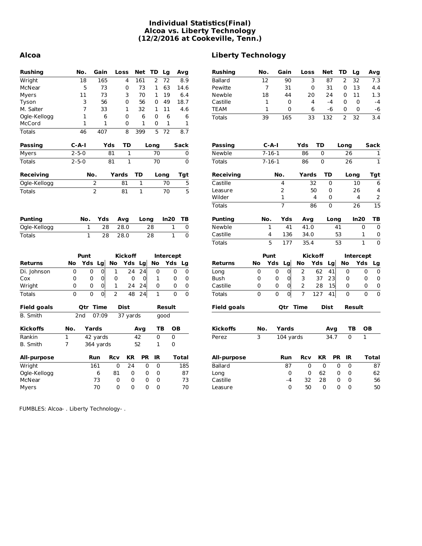#### **Individual Statistics(Final) Alcoa vs. Liberty Technology (12/2/2016 at Cookeville, Tenn.)**

| <b>Rushing</b>     | No.            |                 | Gain           |                | Loss           | Net          | TD             | Lg           |              | Avg            | <b>Rushing</b>    |
|--------------------|----------------|-----------------|----------------|----------------|----------------|--------------|----------------|--------------|--------------|----------------|-------------------|
| Wright             |                | 18              | 165            |                | 4              | 161          | $\overline{2}$ | 72           |              | 8.9            | <b>Ballard</b>    |
| McNear             |                | 5               | 73             |                | 0              | 73           | 1              | 63           |              | 14.6           | Pewitte           |
| Myers              |                | 11              | 73             |                | 3              | 70           | 1              | 19           |              | 6.4            | Newble            |
| Tyson              |                | 3               | 56             |                | 0              | 56           | 0              | 49           |              | 18.7           | Castille          |
| M. Salter          |                | 7               | 33             |                | 1              | 32           | 1              | 11           |              | 4.6            | <b>TEAM</b>       |
| Ogle-Kellogg       |                | $\mathbf{1}$    | 6              |                | 0              | 6            | 0              | 6            |              | 6              | <b>Totals</b>     |
| McCord             |                | $\mathbf{1}$    | $\mathbf{1}$   |                | 0              | $\mathbf{1}$ | 0              | $\mathbf{1}$ |              | 1              |                   |
| <b>Totals</b>      |                | 46              | 407            |                | 8              | 399          | 5              | 72           |              | 8.7            |                   |
| <b>Passing</b>     | C-A-I          |                 |                | Yds            | TD             |              | Long           |              |              | Sack           | <b>Passing</b>    |
| Myers              | $2 - 5 - 0$    |                 |                | 81             | $\mathbf{1}$   |              | 70             |              |              | 0              | Newble            |
| <b>Totals</b>      | $2 - 5 - 0$    |                 |                | 81             | $\mathbf{1}$   |              | 70             |              |              | 0              | <b>Totals</b>     |
| Receiving          |                | No.             |                |                | Yards          | <b>TD</b>    |                | Long         |              | Tgt            | <b>Receiving</b>  |
| Ogle-Kellogg       |                |                 | 2              |                | 81             | $\mathbf{1}$ |                | 70           |              | 5              | Castille          |
| <b>Totals</b>      |                |                 | $\overline{2}$ |                | 81             | $\mathbf{1}$ |                | 70           |              | $\overline{5}$ | Leasure           |
|                    |                |                 |                |                |                |              |                |              |              |                | Wilder            |
|                    |                |                 |                |                |                |              |                |              |              |                | <b>Totals</b>     |
| <b>Punting</b>     |                | No.             | Yds            |                | Avg            | Long         |                | In20         |              | тв             | <b>Punting</b>    |
| Ogle-Kellogg       |                | 1               | 28             |                | 28.0           |              | 28             |              | 1            | $\mathsf 0$    | Newble            |
| <b>Totals</b>      |                | $\mathbf{1}$    | 28             |                | 28.0           |              | 28             |              | $\mathbf{1}$ | $\overline{0}$ | Castille          |
|                    |                |                 |                |                |                |              |                |              |              |                | <b>Totals</b>     |
|                    |                | Punt            |                |                | <b>Kickoff</b> |              |                | Intercept    |              |                |                   |
| <b>Returns</b>     | No             | Yds             | Lg             | <b>No</b>      | Yds            | Lg           | <b>No</b>      | Yds          |              | Lg             | <b>Returns</b>    |
| Di. Johnson        | 0              | 0               | 0              | 1              | 24             | 24           | 0              |              | 0            | 0              | Long              |
| Cox                | 0              | 0               | 0              | 0              | $\Omega$       | 0            | 1              |              | 0            | 0              | <b>Bush</b>       |
| Wright             | 0              | 0               | 0              | $\mathbf 1$    | 24             | 24           | 0              |              | 0            | 0              | Castille          |
| <b>Totals</b>      | $\overline{0}$ | 0               | $\overline{0}$ | $\overline{2}$ | 48             | 24           | $\mathbf{1}$   |              | 0            | 0              | <b>Totals</b>     |
| <b>Field goals</b> |                | <b>Qtr Time</b> |                |                | Dist           |              |                | Result       |              |                | <b>Field goal</b> |
| <b>B.</b> Smith    | 2nd            |                 | 07:09          |                | 37 yards       |              |                | qood         |              |                |                   |
| <b>Kickoffs</b>    | No.            | Yards           |                |                |                | Avg          | ΤВ             |              | OВ           |                | <b>Kickoffs</b>   |
| Rankin             | 1              |                 | 42 yards       |                |                | 42           | $\mathbf 0$    |              | 0            |                | Perez             |
| <b>B.</b> Smith    | 7              |                 | 364 yards      |                |                | 52           | 1              |              | 0            |                |                   |
| <b>All-purpose</b> |                | Run             |                | Rcv            | <b>KR</b>      | <b>PR</b>    | IR             |              |              | Total          | All-purpos        |
| Wright             |                |                 | 161            | 0              | 24             | 0            | 0              |              |              | 185            | <b>Ballard</b>    |
| Ogle-Kellogg       |                |                 | 6              | 81             | 0              | 0            | 0              |              |              | 87             | Long              |
| McNear             |                |                 | 73             | 0              | 0              | 0            | 0              |              |              | 73             | Castille          |
| Myers              |                |                 | 70             | 0              | 0              | 0            | 0              |              |              | 70             | Leasure           |

#### **Alcoa Liberty Technology**

| Rushing            | No.          |                | Gain           |                | Loss           |                  | Net             | TD        |           | Lg     |                  | Avg          |
|--------------------|--------------|----------------|----------------|----------------|----------------|------------------|-----------------|-----------|-----------|--------|------------------|--------------|
| <b>Ballard</b>     | 12           |                | 90             |                | 3              |                  | 87              |           | 2         | 32     |                  | 7.3          |
| Pewitte            | 7            |                | 31             |                | 0              |                  | 31              |           | 0         | 13     |                  | 4.4          |
| Newble             | 18           |                | 44             |                | 20             |                  | 24              |           | 0         | 11     |                  | 1.3          |
| Castille           | 1            |                | 0              |                | 4              |                  | $-4$            |           | 0         | 0      |                  | $-4$         |
| TEAM               | $\mathbf{1}$ |                | 0              |                | 6              |                  | -6              |           | 0         | 0      |                  | -6           |
| <b>Totals</b>      | 39           |                | 165            |                | 33             |                  | 132             |           | 2         | 32     |                  | 3.4          |
| Passing            |              | $C-A-I$        |                | Yds            |                | TD               |                 |           | Long      |        |                  | Sack         |
| Newble             |              | $7 - 16 - 1$   |                |                | 86             | 0                |                 |           | 26        |        |                  | 1            |
| <b>Totals</b>      |              | $7 - 16 - 1$   |                |                | 86             | 0                |                 |           | 26        |        |                  | $\mathbf{1}$ |
| Receiving          |              | No.            |                |                | Yards          |                  | <b>TD</b>       |           |           | Long   |                  | Tgt          |
| Castille           |              |                | 4              |                | 32             |                  | 0               |           |           | 10     |                  | 6            |
| Leasure            |              |                | 2              |                | 50             |                  | 0               |           |           | 26     |                  | 4            |
| Wilder             |              |                | 1              |                | 4              |                  | 0               |           |           | 4      |                  | 2            |
| <b>Totals</b>      |              |                | 7              |                | 86             |                  | 0               |           |           | 26     |                  | 15           |
| <b>Punting</b>     | No.          |                | Yds            |                | Avg            |                  | Long            |           |           | In20   |                  | ΤВ           |
| Newble             | 1            |                | 41             |                | 41.0           |                  |                 | 41        |           |        | 0                | 0            |
| Castille           | 4            |                | 136            |                | 34.0           |                  |                 | 53        |           |        | 1                | 0            |
| <b>Totals</b>      |              | 5              | 177            |                | 35.4           |                  |                 | 53        |           |        | 1                | 0            |
|                    | Punt         |                |                |                | <b>Kickoff</b> |                  |                 |           |           |        | <b>Intercept</b> |              |
| Returns            | No           | Yds            | Lg             | No             |                | Yds              | Lg              |           | <b>No</b> |        | Yds              | Lg           |
| Long               | 0            | 0              | 0              | 2              |                | 62               | $\overline{41}$ |           | 0         |        | 0                | 0            |
| <b>Bush</b>        | 0            | 0              | 0              | 3              |                | 37               | 23              |           | 0         |        | 0                | 0            |
| Castille           | 0            | 0              | 0              | $\overline{2}$ |                | 28               | 15              |           | 0         |        | 0                | 0            |
| <b>Totals</b>      | $\Omega$     | $\overline{0}$ | $\overline{0}$ | $\overline{7}$ |                | $\overline{127}$ | 41              |           | $\Omega$  |        | $\Omega$         | 0            |
|                    |              |                |                |                |                |                  |                 |           |           |        |                  |              |
| <b>Field goals</b> |              |                | Qtr            | Time           |                |                  | Dist            |           |           | Result |                  |              |
| Kickoffs           | No.          |                | Yards          |                |                |                  | Avg             |           |           | ΤВ     | OВ               |              |
| Perez              | 3            |                |                | 104 yards      |                |                  | 34.7            |           | 0         |        | 1                |              |
|                    |              |                |                |                |                |                  |                 |           |           |        |                  |              |
| All-purpose        |              |                | Run            |                | <b>Rcv</b>     | <b>KR</b>        |                 | <b>PR</b> | <b>IR</b> |        |                  | <b>Total</b> |
| <b>Ballard</b>     |              |                | 87             |                | 0              | 0                |                 | 0         | 0         |        |                  | 87           |
| Long               |              |                | 0              |                | 0              | 62               |                 | 0         | 0         |        |                  | 62           |
| Castille           |              |                | $-4$           |                | 32             | 28               |                 | 0         | 0         |        |                  | 56           |
| Leasure            |              |                | 0              |                | 50             | 0                |                 | 0         | 0         |        |                  | 50           |

FUMBLES: Alcoa- . Liberty Technology- .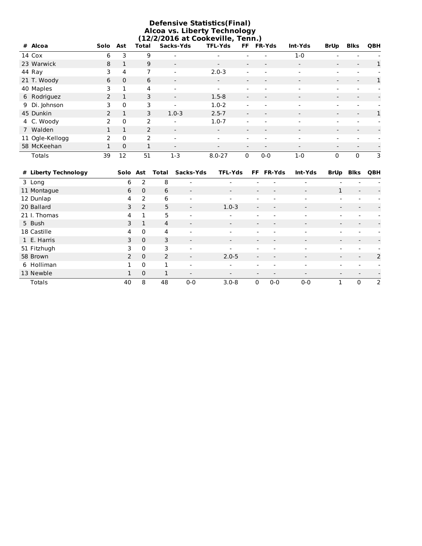| <b>Defensive Statistics(Final)</b><br><b>Alcoa vs. Liberty Technology</b><br>(12/2/2016 at Cookeville, Tenn.) |                |              |       |                          |                          |                          |                          |                          |                          |                          |            |  |  |
|---------------------------------------------------------------------------------------------------------------|----------------|--------------|-------|--------------------------|--------------------------|--------------------------|--------------------------|--------------------------|--------------------------|--------------------------|------------|--|--|
| # Alcoa                                                                                                       | Solo Ast       |              | Total | Sacks-Yds                | <b>TFL-Yds</b>           | FF.                      | <b>FR-Yds</b>            | Int-Yds                  | <b>BrUp</b>              | <b>Blks</b>              | <b>QBH</b> |  |  |
| 14 Cox                                                                                                        | 6              | 3            | 9     |                          |                          |                          |                          | $1 - 0$                  |                          |                          |            |  |  |
| 23 Warwick                                                                                                    | 8              | 1            | 9     | $\overline{\phantom{a}}$ | $\overline{\phantom{a}}$ |                          | $\overline{\phantom{a}}$ | $\overline{\phantom{a}}$ | $\overline{\phantom{a}}$ | $\blacksquare$           | 1          |  |  |
| 44 Ray                                                                                                        | 3              | 4            | 7     |                          | $2.0 - 3$                | $\overline{\phantom{a}}$ | $\overline{\phantom{0}}$ | $\overline{\phantom{a}}$ |                          | $\overline{\phantom{a}}$ |            |  |  |
| 21 T. Woody                                                                                                   | 6              | $\Omega$     | 6     | $\overline{\phantom{a}}$ |                          | $\overline{\phantom{a}}$ | $\overline{\phantom{a}}$ | $\overline{\phantom{a}}$ | $\blacksquare$           | $\overline{\phantom{a}}$ | 1          |  |  |
| 40 Maples                                                                                                     | 3              | 1            | 4     |                          |                          |                          |                          | $\overline{\phantom{a}}$ |                          |                          |            |  |  |
| 6 Rodriguez                                                                                                   | $\overline{2}$ | 1            | 3     |                          | $1.5 - 8$                |                          |                          | $\overline{\phantom{a}}$ |                          |                          |            |  |  |
| 9 Di. Johnson                                                                                                 | 3              | $\Omega$     | 3     |                          | $1.0 - 2$                |                          | $\sim$                   | $\sim$                   |                          |                          |            |  |  |
| 45 Dunkin                                                                                                     | $\mathcal{P}$  | $\mathbf{1}$ | 3     | $1.0 - 3$                | $2.5 - 7$                | $\blacksquare$           | $\blacksquare$           | $\blacksquare$           | $\blacksquare$           | $\blacksquare$           | 1          |  |  |
| 4 C. Woody                                                                                                    | $\mathcal{P}$  | $\Omega$     | 2     |                          | $1.0 - 7$                |                          |                          | $\sim$                   |                          | $\sim$                   |            |  |  |
| 7 Walden                                                                                                      |                | $\mathbf{1}$ | 2     | $\overline{\phantom{a}}$ |                          |                          | $\overline{\phantom{a}}$ | $\overline{\phantom{a}}$ |                          | $\overline{\phantom{a}}$ |            |  |  |
| 11 Ogle-Kellogg                                                                                               | $\mathcal{P}$  | $\Omega$     | 2     | $\overline{\phantom{a}}$ |                          |                          | $\overline{\phantom{0}}$ | $\overline{\phantom{a}}$ |                          |                          |            |  |  |
| 58 McKeehan                                                                                                   |                | $\Omega$     | 1     |                          |                          |                          |                          | $\overline{\phantom{a}}$ | $\overline{\phantom{0}}$ | $\overline{\phantom{a}}$ |            |  |  |
| Totals                                                                                                        | 39             | 12           | 51    | $1 - 3$                  | $8.0 - 27$               | $\mathbf{0}$             | $0 - 0$                  | $1 - 0$                  | $\mathbf{0}$             | $\mathbf{0}$             | 3          |  |  |

| # Liberty Technology | Solo Ast      |                | Total          | Sacks-Yds                | <b>TFL-Yds</b>           |                          | FF FR-Yds                | Int-Yds                  | <b>BrUp</b>              | Blks                     | QBH |
|----------------------|---------------|----------------|----------------|--------------------------|--------------------------|--------------------------|--------------------------|--------------------------|--------------------------|--------------------------|-----|
| 3 Long               | 6             | $\overline{2}$ | 8              |                          |                          |                          |                          |                          |                          |                          |     |
| 11 Montague          | 6             | $\Omega$       | 6              | $\blacksquare$           | $\blacksquare$           | $\overline{\phantom{a}}$ |                          | $\overline{\phantom{a}}$ | $\mathbf{1}$             | $\overline{\phantom{a}}$ |     |
| 12 Dunlap            | 4             | 2              | 6              | $\overline{\phantom{a}}$ | $\overline{\phantom{a}}$ | $\overline{\phantom{a}}$ | $\overline{\phantom{a}}$ | $\overline{\phantom{0}}$ | $\overline{\phantom{0}}$ |                          |     |
| 20 Ballard           | 3             | 2              | 5              | $\blacksquare$           | $1.0 - 3$                |                          |                          |                          | $\overline{\phantom{a}}$ |                          |     |
| 21 I. Thomas         | 4             | 1              | 5              | $\overline{\phantom{0}}$ | $\overline{\phantom{0}}$ |                          | $\overline{\phantom{0}}$ | $\overline{\phantom{0}}$ |                          |                          |     |
| 5 Bush               | 3             | 1              | $\overline{4}$ | $\overline{\phantom{a}}$ | $\overline{\phantom{0}}$ |                          |                          | $\overline{\phantom{a}}$ | $\overline{\phantom{a}}$ |                          |     |
| 18 Castille          | 4             | $\mathbf{0}$   | 4              | $\overline{\phantom{0}}$ | $\overline{\phantom{0}}$ |                          |                          |                          |                          |                          |     |
| 1 E. Harris          | 3             | $\Omega$       | 3              | $\overline{\phantom{a}}$ | $\overline{\phantom{a}}$ |                          |                          |                          |                          |                          |     |
| 51 Fitzhugh          | 3.            | $\Omega$       | 3              | $\overline{\phantom{0}}$ |                          |                          |                          |                          |                          |                          |     |
| 58 Brown             | $\mathcal{P}$ | $\Omega$       | 2              | $\blacksquare$           | $2.0 - 5$                | $\overline{\phantom{a}}$ | $\overline{\phantom{0}}$ | $\overline{\phantom{a}}$ | $\overline{\phantom{0}}$ | $\overline{\phantom{a}}$ | 2   |
| 6 Holliman           | 1             | $\Omega$       | 1              | $\sim$                   | $\overline{\phantom{a}}$ | $\sim$                   | $\overline{\phantom{a}}$ |                          | $\sim$                   |                          |     |
| 13 Newble            | 1             | $\Omega$       | 1              | $\overline{\phantom{a}}$ | $\overline{\phantom{0}}$ |                          |                          |                          |                          |                          |     |
| <b>Totals</b>        | 40            | 8              | 48             | $0-0$                    | $3.0 - 8$                | 0                        | $0 - 0$                  | $0 - 0$                  |                          | 0                        | 2   |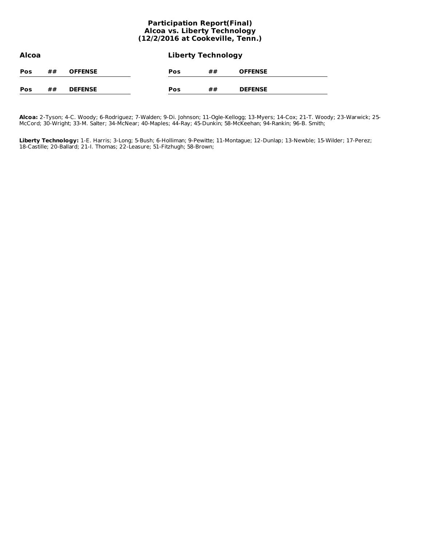#### **Participation Report(Final) Alcoa vs. Liberty Technology (12/2/2016 at Cookeville, Tenn.)**

| Alcoa |    |                | <b>Liberty Technology</b> |    |                |  |  |  |  |
|-------|----|----------------|---------------------------|----|----------------|--|--|--|--|
| Pos   | ## | <b>OFFENSE</b> | Pos                       | ## | <b>OFFENSE</b> |  |  |  |  |
| Pos   | ## | <b>DEFENSE</b> | Pos                       | ## | <b>DEFENSE</b> |  |  |  |  |

**Alcoa:** 2-Tyson; 4-C. Woody; 6-Rodriguez; 7-Walden; 9-Di. Johnson; 11-Ogle-Kellogg; 13-Myers; 14-Cox; 21-T. Woody; 23-Warwick; 25- McCord; 30-Wright; 33-M. Salter; 34-McNear; 40-Maples; 44-Ray; 45-Dunkin; 58-McKeehan; 94-Rankin; 96-B. Smith;

**Liberty Technology:** 1-E. Harris; 3-Long; 5-Bush; 6-Holliman; 9-Pewitte; 11-Montague; 12-Dunlap; 13-Newble; 15-Wilder; 17-Perez; 18-Castille; 20-Ballard; 21-I. Thomas; 22-Leasure; 51-Fitzhugh; 58-Brown;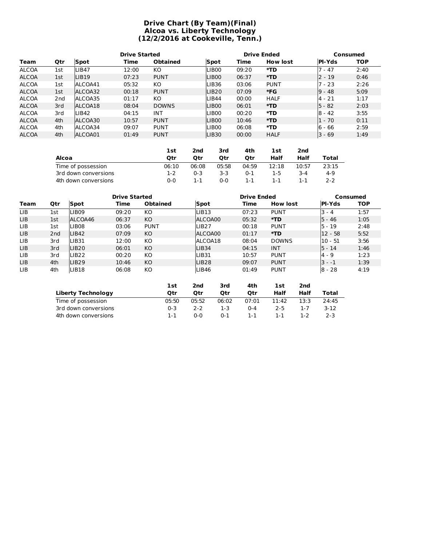#### **Drive Chart (By Team)(Final) Alcoa vs. Liberty Technology (12/2/2016 at Cookeville, Tenn.)**

|              |                 | <b>Drive Started</b> |       |                 | <b>Drive Ended</b> |       | Consumed        |               |            |
|--------------|-----------------|----------------------|-------|-----------------|--------------------|-------|-----------------|---------------|------------|
| Team         | Qtr             | Spot                 | Time  | <b>Obtained</b> | Spot               | Time  | <b>How lost</b> | <b>PI-Yds</b> | <b>TOP</b> |
| <b>ALCOA</b> | 1st             | LIB47                | 12:00 | КO              | <b>LIB00</b>       | 09:20 | *TD             | 1 - 47        | 2:40       |
| <b>ALCOA</b> | 1st             | LIB <sub>19</sub>    | 07:23 | <b>PUNT</b>     | LIB <sub>00</sub>  | 06:37 | $*TD$           | $2 - 19$      | 0:46       |
| <b>ALCOA</b> | 1st             | ALCOA41              | 05:32 | KO              | <b>LIB36</b>       | 03:06 | <b>PUNT</b>     | $7 - 23$      | 2:26       |
| <b>ALCOA</b> | 1st             | ALCOA32              | 00:18 | <b>PUNT</b>     | LIB20              | 07:09 | *FG             | $9 - 48$      | 5:09       |
| <b>ALCOA</b> | 2 <sub>nd</sub> | ALCOA35              | 01:17 | KO              | <b>LIB44</b>       | 00:00 | <b>HALF</b>     | 4 - 21        | 1:17       |
| <b>ALCOA</b> | 3rd             | ALCOA18              | 08:04 | <b>DOWNS</b>    | LIB <sub>00</sub>  | 06:01 | *TD             | $5 - 82$      | 2:03       |
| <b>ALCOA</b> | 3rd             | LIB42                | 04:15 | INT             | LIB <sub>00</sub>  | 00:20 | *TD             | $8 - 42$      | 3:55       |
| <b>ALCOA</b> | 4th             | ALCOA30              | 10:57 | <b>PUNT</b>     | LIB <sub>00</sub>  | 10:46 | *TD             | 1 - 70        | 0:11       |
| <b>ALCOA</b> | 4th             | ALCOA34              | 09:07 | <b>PUNT</b>     | <b>LIB00</b>       | 06:08 | *TD             | 6 - 66        | 2:59       |
| <b>ALCOA</b> | 4th             | ALCOA01              | 01:49 | <b>PUNT</b>     | LIB <sub>30</sub>  | 00:00 | <b>HALF</b>     | 3 - 69        | 1:49       |

|                      | 1st   | 2nd     | 3rd   | 4th     | <b>1st</b> | 2nd   |         |
|----------------------|-------|---------|-------|---------|------------|-------|---------|
| Alcoa                | Otr   | Otr     | Otr   | Otr     | Half       | Half  | Total   |
| Time of possession   | 06:10 | 06:08   | 05:58 | 04:59   | 12:18      | 10:57 | 23:15   |
| 3rd down conversions | 1-2   | $0 - 3$ | 3-3   | $0 - 1$ | 1-5        | 3-4   | $4 - 9$ |
| 4th down conversions | ი-ი   | 1-1     | ი-ი   | 1-1     | 1-1        | 1-1   | 2-2     |

|      |                 | <b>Drive Started</b> |       |                 | <b>Drive Ended</b> |       | Consumed        |               |            |
|------|-----------------|----------------------|-------|-----------------|--------------------|-------|-----------------|---------------|------------|
| Team | Qtr             | Spot                 | Time  | <b>Obtained</b> | Spot               | Time  | <b>How lost</b> | <b>PI-Yds</b> | <b>TOP</b> |
| LIB  | 1st             | <b>LIB09</b>         | 09:20 | KO              | LIB13              | 07:23 | <b>PUNT</b>     | $3 - 4$       | 1:57       |
| LIB. | 1st             | ALCOA46              | 06:37 | <b>KO</b>       | ALCOA00            | 05:32 | *TD             | $5 - 46$      | 1:05       |
| LIB  | 1st             | LIB08                | 03:06 | <b>PUNT</b>     | LIB <sub>27</sub>  | 00:18 | <b>PUNT</b>     | $5 - 19$      | 2:48       |
| LIB. | 2 <sub>nd</sub> | LIB <sub>42</sub>    | 07:09 | KO.             | ALCOA00            | 01:17 | *TD             | l12 - 58      | 5:52       |
| LIB  | 3rd             | LIB31                | 12:00 | KO              | ALCOA18            | 08:04 | <b>DOWNS</b>    | $10 - 51$     | 3:56       |
| LIB. | 3rd             | LIB <sub>20</sub>    | 06:01 | KO.             | LIB34              | 04:15 | <b>INT</b>      | $5 - 14$      | 1:46       |
| LIB. | 3rd             | LIB <sub>22</sub>    | 00:20 | KO              | LIB <sub>31</sub>  | 10:57 | <b>PUNT</b>     | $4 - 9$       | 1:23       |
| LIB. | 4th             | LIB <sub>29</sub>    | 10:46 | KO              | LIB <sub>28</sub>  | 09:07 | <b>PUNT</b>     | $3 - -1$      | 1:39       |
| LIB  | 4th             | LIB <sub>18</sub>    | 06:08 | КO              | LIB46              | 01:49 | <b>PUNT</b>     | $8 - 28$      | 4:19       |

|                           | <b>1st</b> | 2nd     | 3rd     | 4th     | 1st     | 2nd  |       |
|---------------------------|------------|---------|---------|---------|---------|------|-------|
| <b>Liberty Technology</b> | Otr        | Otr     | Otr     | Otr     | Half    | Half | Total |
| Time of possession        | 05:50      | 05:52   | 06:02   | 07:01   | 11:42   | 13:3 | 24:45 |
| 3rd down conversions      | $0 - 3$    | $2 - 2$ | 1-3     | $0 - 4$ | $2 - 5$ |      | 3-12  |
| 4th down conversions      | 1-1        | ი-ი     | $0 - 1$ | 1-1     | 1-1     | 1-2  | 2-3   |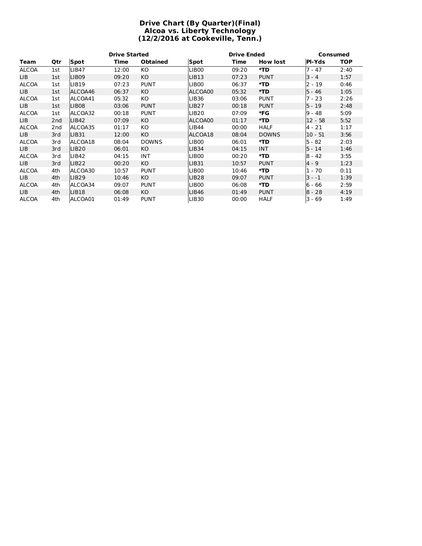#### **Drive Chart (By Quarter)(Final) Alcoa vs. Liberty Technology (12/2/2016 at Cookeville, Tenn.)**

|              |                 |                   | <b>Drive Started</b> |                 |                   | <b>Drive Ended</b> | <b>Consumed</b> |               |            |
|--------------|-----------------|-------------------|----------------------|-----------------|-------------------|--------------------|-----------------|---------------|------------|
| Team         | Qtr             | <b>Spot</b>       | Time                 | <b>Obtained</b> | Spot              | Time               | <b>How lost</b> | <b>PI-Yds</b> | <b>TOP</b> |
| <b>ALCOA</b> | 1st             | <b>LIB47</b>      | 12:00                | KO              | LIB <sub>00</sub> | 09:20              | *TD             | $7 - 47$      | 2:40       |
| LIB          | 1st             | <b>LIB09</b>      | 09:20                | KO.             | LIB13             | 07:23              | <b>PUNT</b>     | $3 - 4$       | 1:57       |
| <b>ALCOA</b> | 1st             | <b>LIB19</b>      | 07:23                | <b>PUNT</b>     | LIB00             | 06:37              | *TD             | 2 - 19        | 0:46       |
| LIB          | 1st             | ALCOA46           | 06:37                | KO.             | ALCOA00           | 05:32              | *TD             | $5 - 46$      | 1:05       |
| <b>ALCOA</b> | 1st             | ALCOA41           | 05:32                | KO.             | <b>LIB36</b>      | 03:06              | <b>PUNT</b>     | 7 - 23        | 2:26       |
| LIB          | 1st             | LIB <sub>08</sub> | 03:06                | <b>PUNT</b>     | LIB <sub>27</sub> | 00:18              | <b>PUNT</b>     | $5 - 19$      | 2:48       |
| <b>ALCOA</b> | 1st             | ALCOA32           | 00:18                | <b>PUNT</b>     | LIB <sub>20</sub> | 07:09              | *FG             | $9 - 48$      | 5:09       |
| LIB          | 2 <sub>nd</sub> | LIB42             | 07:09                | KO.             | ALCOA00           | 01:17              | *TD             | $12 - 58$     | 5:52       |
| <b>ALCOA</b> | 2 <sub>nd</sub> | ALCOA35           | 01:17                | КO              | LIB44             | 00:00              | <b>HALF</b>     | $4 - 21$      | 1:17       |
| LIB          | 3rd             | LIB31             | 12:00                | KO.             | ALCOA18           | 08:04              | <b>DOWNS</b>    | $10 - 51$     | 3:56       |
| <b>ALCOA</b> | 3rd             | ALCOA18           | 08:04                | <b>DOWNS</b>    | LIB00             | 06:01              | *TD             | 5 - 82        | 2:03       |
| LIB          | 3rd             | <b>LIB20</b>      | 06:01                | KO              | <b>LIB34</b>      | 04:15              | <b>INT</b>      | 5 - 14        | 1:46       |
| <b>ALCOA</b> | 3rd             | <b>LIB42</b>      | 04:15                | <b>INT</b>      | LIB00             | 00:20              | *TD             | $8 - 42$      | 3:55       |
| LIB.         | 3rd             | LIB <sub>22</sub> | 00:20                | KO.             | LIB31             | 10:57              | <b>PUNT</b>     | 4 - 9         | 1:23       |
| <b>ALCOA</b> | 4th             | ALCOA30           | 10:57                | <b>PUNT</b>     | LIB00             | 10:46              | *TD             | 1 - 70        | 0:11       |
| LIB          | 4th             | LIB29             | 10:46                | KO.             | LIB <sub>28</sub> | 09:07              | <b>PUNT</b>     | $3 - -1$      | 1:39       |
| <b>ALCOA</b> | 4th             | ALCOA34           | 09:07                | <b>PUNT</b>     | LIB00             | 06:08              | *TD             | $6 - 66$      | 2:59       |
| LIB          | 4th             | <b>LIB18</b>      | 06:08                | KO.             | LIB <sub>46</sub> | 01:49              | <b>PUNT</b>     | $8 - 28$      | 4:19       |
| <b>ALCOA</b> | 4th             | ALCOA01           | 01:49                | <b>PUNT</b>     | <b>LIB30</b>      | 00:00              | <b>HALF</b>     | $3 - 69$      | 1:49       |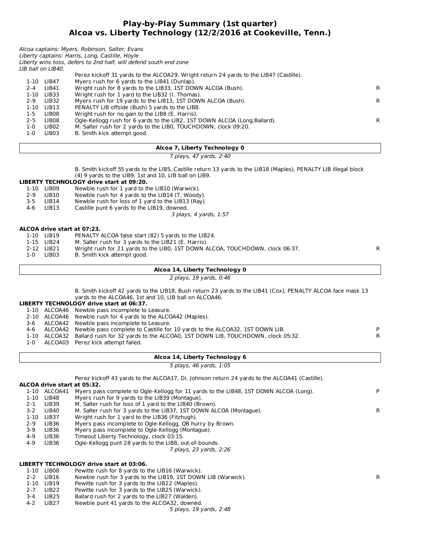#### **Play-by-Play Summary (1st quarter) Alcoa vs. Liberty Technology (12/2/2016 at Cookeville, Tenn.)**

|                   | Perez kickoff 31 yards to the ALCOA29, Wright return 24 yards to the LIB47 (Castille). |                                                                                                                                                                        |
|-------------------|----------------------------------------------------------------------------------------|------------------------------------------------------------------------------------------------------------------------------------------------------------------------|
| LIB47             | Myers rush for 6 yards to the LIB41 (Dunlap).                                          |                                                                                                                                                                        |
| LIB41             | Wright rush for 8 yards to the LIB33, 1ST DOWN ALCOA (Bush).                           | R.                                                                                                                                                                     |
| LIB33             | Wright rush for 1 yard to the LIB32 (I. Thomas).                                       |                                                                                                                                                                        |
| LIB <sub>32</sub> | Myers rush for 19 yards to the LIB13, 1ST DOWN ALCOA (Bush).                           | R                                                                                                                                                                      |
| LIB <sub>13</sub> | PENALTY LIB offside (Bush) 5 yards to the LIB8.                                        |                                                                                                                                                                        |
| LIB08             | Wright rush for no gain to the LIB8 (E. Harris).                                       |                                                                                                                                                                        |
| LIB08             | Ogle-Kellogg rush for 6 yards to the LIB2, 1ST DOWN ALCOA (Long; Ballard).             | R.                                                                                                                                                                     |
| LIB <sub>02</sub> | M. Salter rush for 2 yards to the LIBO, TOUCHDOWN, clock 09:20.                        |                                                                                                                                                                        |
| LIB <sub>03</sub> | B. Smith kick attempt good.                                                            |                                                                                                                                                                        |
|                   | LIB ball on LIB40.                                                                     | Alcoa captains: Myers, Robinson, Salter, Evans<br>Liberty captains: Harris, Long, Castille, Hoyle<br>Liberty wins toss, defers to 2nd half, will defend south end zone |

#### **Alcoa 7, Liberty Technology 0**

#### 7 plays, 47 yards, 2:40

B. Smith kickoff 55 yards to the LIB5, Castille return 13 yards to the LIB18 (Maples), PENALTY LIB illegal block (4) 9 yards to the LIB9, 1st and 10, LIB ball on LIB9.

### **LIBERTY TECHNOLOGY drive start at 09:20.**

1-10 LIB09 Newble rush for 1 yard to the LIB10 (Warwick).<br>2-9 LIB10 Newble rush for 4 yards to the LIB14 (T. Woody

- 2-9 LIB10 Newble rush for 4 yards to the LIB14 (T. Woody).<br>3-5 LIB14 Newble rush for loss of 1 yard to the LIB13 (Ray).
- 3-5 LIB14 Newble rush for loss of 1 yard to the LIB13 (Ray).<br>4-6 LIB13 Castille punt 6 vards to the LIB19. downed.
- Castille punt 6 yards to the LIB19, downed.

3 plays, 4 yards, 1:57

#### **ALCOA drive start at 07:23.**

|     | 1-10 LIB19 | PENALTY ALCOA false start (82) 5 yards to the LIB24.                          |  |
|-----|------------|-------------------------------------------------------------------------------|--|
|     | 1-15 LIB24 | M. Salter rush for 3 yards to the LIB21 (E. Harris).                          |  |
|     | 2-12 LIB21 | Wright rush for 21 yards to the LIBO, 1ST DOWN ALCOA, TOUCHDOWN, clock 06:37. |  |
| 1-0 | LIB03      | B. Smith kick attempt good.                                                   |  |
|     |            |                                                                               |  |

#### **Alcoa 14, Liberty Technology 0**

2 plays, 19 yards, 0:46

|  |  | B. Smith kickoff 42 yards to the LIB18, Bush return 23 yards to the LIB41 (Cox), PENALTY ALCOA face mask 13 |  |  |  |  |
|--|--|-------------------------------------------------------------------------------------------------------------|--|--|--|--|
|  |  | yards to the ALCOA46, 1st and 10, LIB ball on ALCOA46.                                                      |  |  |  |  |

#### **LIBERTY TECHNOLOGY drive start at 06:37.**

1-10 ALCOA46 Newble pass incomplete to Leasure.

- 2-10 ALCOA46 Newble rush for 4 yards to the ALCOA42 (Maples).
- 3-6 ALCOA42 Newble pass incomplete to Leasure.
- 4-6 ALCOA42 Newble pass complete to Castille for 10 yards to the ALCOA32, 1ST DOWN LIB. P
- 1-10 ALCOA32 Ballard rush for 32 yards to the ALCOA0, 1ST DOWN LIB, TOUCHDOWN, clock 05:32. R
- 1-0 ALCOA03 Perez kick attempt failed.

#### **Alcoa 14, Liberty Technology 6**

5 plays, 46 yards, 1:05

**ALCOA drive start at 05:32.** Perez kickoff 43 yards to the ALCOA17, Di. Johnson return 24 yards to the ALCOA41 (Castille).

| 1-10     | ALCOA41   | Myers pass complete to Ogle-Kellogg for 11 yards to the LIB48, 1ST DOWN ALCOA (Long). |   |
|----------|-----------|---------------------------------------------------------------------------------------|---|
| $1 - 10$ | LIB48     | Myers rush for 9 yards to the LIB39 (Montaque).                                       |   |
| $2 - 1$  | LIB39     | M. Salter rush for loss of 1 yard to the LIB40 (Brown).                               |   |
| $3-2$    | LIB40     | M. Salter rush for 3 yards to the LIB37, 1ST DOWN ALCOA (Montague).                   | R |
| $1 - 10$ | LIB37     | Wright rush for 1 yard to the LIB36 (Fitzhugh).                                       |   |
| $2 - 9$  | LIB36     | Myers pass incomplete to Ogle-Kellogg, QB hurry by Brown.                             |   |
| 3-9      | LIB36     | Myers pass incomplete to Ogle-Kellogg (Montague).                                     |   |
| 4-9      | LIB36     | Timeout Liberty Technology, clock 03:15.                                              |   |
| 4-9      | LIB36     | Ogle-Kellogg punt 28 yards to the LIB8, out-of-bounds.                                |   |
|          |           | 7 plays, 23 yards, 2:26                                                               |   |
|          |           | LIBERTY TECHNOLOGY drive start at 03:06.                                              |   |
|          |           |                                                                                       |   |
|          | 110 11000 | Dowitto ruch for 9 varde to the UD16 (Warwick)                                        |   |

1-10 LIB08 Pewitte rush for 8 yards to the LIB16 (Warwick). 2-2 LIB16 Newble rush for 3 yards to the LIB19, 1ST DOWN LIB (Warwick). The match of the R

- 1-10 LIB19 Pewitte rush for 3 yards to the LIB22 (Maples).
- 2-7 LIB22 Pewitte rush for 3 yards to the LIB25 (Warwick).
- 3-4 LIB25 Ballard rush for 2 yards to the LIB27 (Walden).<br>4-2 LIB27 Newble punt 41 vards to the ALCOA32, downed
- Newble punt 41 yards to the ALCOA32, downed.
	- 5 plays, 19 yards, 2:48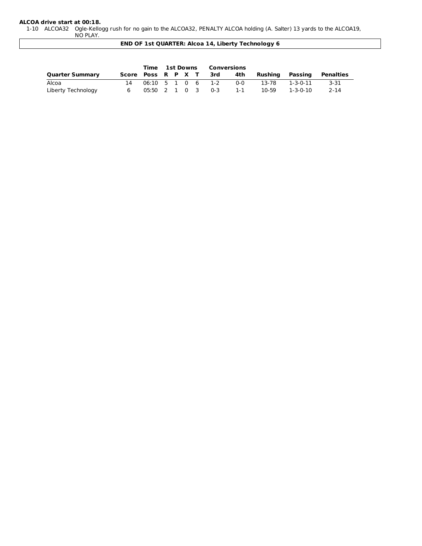#### **ALCOA drive start at 00:18.**

1-10 ALCOA32 Ogle-Kellogg rush for no gain to the ALCOA32, PENALTY ALCOA holding (A. Salter) 13 yards to the ALCOA19, NO PLAY.

**END OF 1st QUARTER: Alcoa 14, Liberty Technology 6**

|                        |                    |  |  | Time 1st Downs Conversions |         |         |                  |           |
|------------------------|--------------------|--|--|----------------------------|---------|---------|------------------|-----------|
| <b>Quarter Summary</b> | Score Poss R P X T |  |  | 3rd                        | 4th     | Rushina | Passing          | Penalties |
| Alcoa                  |                    |  |  | 06:10 5 1 0 6 1-2          | $0 - 0$ | 13-78   | 1-3-0-11         | -3-31     |
| Liberty Technology     |                    |  |  | 05:50 2 1 0 3 0-3          | $1 - 1$ | 10-59   | $1 - 3 - 0 - 10$ | $2 - 14$  |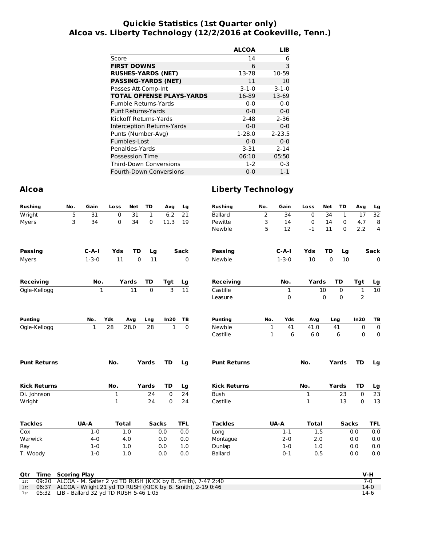#### **Quickie Statistics (1st Quarter only) Alcoa vs. Liberty Technology (12/2/2016 at Cookeville, Tenn.)**

|                                  | <b>ALCOA</b> | LIB         |
|----------------------------------|--------------|-------------|
| Score                            | 14           | 6           |
| <b>FIRST DOWNS</b>               | 6            | 3           |
| <b>RUSHES-YARDS (NET)</b>        | 13-78        | 10-59       |
| <b>PASSING-YARDS (NET)</b>       | 11           | 10          |
| Passes Att-Comp-Int              | $3 - 1 - 0$  | $3 - 1 - 0$ |
| <b>TOTAL OFFENSE PLAYS-YARDS</b> | 16-89        | 13-69       |
| Fumble Returns-Yards             | $0 - 0$      | $0 - 0$     |
| <b>Punt Returns-Yards</b>        | $0 - 0$      | $0 - 0$     |
| Kickoff Returns-Yards            | $2 - 48$     | $2 - 36$    |
| Interception Returns-Yards       | $0 - 0$      | $0 - 0$     |
| Punts (Number-Avg)               | $1-28.0$     | $2 - 23.5$  |
| Fumbles-Lost                     | $0 - 0$      | $0 - 0$     |
| Penalties-Yards                  | $3 - 31$     | $2 - 14$    |
| <b>Possession Time</b>           | 06:10        | 05:50       |
| Third-Down Conversions           | $1-2$        | $0 - 3$     |
| <b>Fourth-Down Conversions</b>   | $0 - 0$      | $1 - 1$     |

#### **Alcoa Liberty Technology**

| <b>Rushing</b>                  | No. | Gain         | Loss         | Net             | TD           | Avg            | Lg              | <b>Rushing</b>      | No.          | Gain        | Loss            | <b>Net</b>  | TD           | Avg            | Lg              |
|---------------------------------|-----|--------------|--------------|-----------------|--------------|----------------|-----------------|---------------------|--------------|-------------|-----------------|-------------|--------------|----------------|-----------------|
| Wright                          | 5   | 31           | $\mathbf 0$  | $\overline{31}$ | $\mathbf{1}$ | 6.2            | $\overline{21}$ | <b>Ballard</b>      | 2            | 34          | $\mathbf 0$     | 34          | 1            | 17             | 32              |
| Myers                           | 3   | 34           | 0            | 34              | 0            | 11.3           | 19              | Pewitte             | 3            | 14          | $\pmb{0}$       | 14          | $\mathbf 0$  | 4.7            | 8               |
|                                 |     |              |              |                 |              |                |                 | Newble              | 5            | 12          | $-1$            | 11          | $\Omega$     | 2.2            | 4               |
| <b>Passing</b>                  |     | $C-A-I$      | Yds          | <b>TD</b>       | Lg           |                | <b>Sack</b>     | <b>Passing</b>      |              | $C - A - I$ | Yds             | <b>TD</b>   | Lg           |                | Sack            |
| Myers                           |     | $1 - 3 - 0$  | 11           | 0               | 11           |                | 0               | Newble              |              | $1 - 3 - 0$ | $\overline{10}$ | $\mathbf 0$ | 10           |                | $\mathbf 0$     |
| <b>Receiving</b>                |     | No.          |              | Yards           | <b>TD</b>    | Tgt            | Lg              | <b>Receiving</b>    |              | No.         | Yards           |             | TD           | Tgt            | Lg              |
| Ogle-Kellogg                    |     |              | $\mathbf{1}$ | 11              | $\Omega$     | $\overline{3}$ | $\overline{11}$ | Castille            |              | 1           |                 | 10          | 0            | $\mathbf 1$    | $\overline{10}$ |
|                                 |     |              |              |                 |              |                |                 | Leasure             |              | 0           |                 | 0           | $\pmb{0}$    | $\overline{c}$ |                 |
| <b>Punting</b>                  |     | No.          | Yds          | Avg             | Lng          | In20           | TB              | <b>Punting</b>      | No.          | Yds         | Avg             |             | Lng          | In20           | TB              |
| Ogle-Kellogg                    |     | $\mathbf{1}$ | 28           | 28.0            | 28           | $\mathbf{1}$   | $\mathbf 0$     | Newble              | 1            | 41          | 41.0            |             | 41           | 0              | $\pmb{0}$       |
|                                 |     |              |              |                 |              |                |                 | Castille            | $\mathbf{1}$ | 6           | 6.0             |             | 6            | 0              | 0               |
| <b>Punt Returns</b>             |     |              | No.          |                 | Yards        | <b>TD</b>      | Lg              | <b>Punt Returns</b> |              |             | No.             |             | Yards        | <b>TD</b>      | Lg              |
| <b>Kick Returns</b>             |     |              | No.          |                 | Yards        | <b>TD</b>      | Lg              | <b>Kick Returns</b> |              |             | No.             |             | Yards        | <b>TD</b>      | Lg              |
| Di. Johnson                     |     |              | $\mathbf 1$  |                 | 24           | 0              | $\overline{24}$ | Bush                |              |             | $\mathbf 1$     |             | 23           | $\mathbf 0$    | $\overline{23}$ |
| Wright                          |     |              | 1            |                 | 24           | 0              | 24              | Castille            |              |             | $\mathbf 1$     |             | 13           | $\mathbf 0$    | 13              |
| <b>Tackles</b>                  |     | UA-A         |              | <b>Total</b>    | <b>Sacks</b> |                | <b>TFL</b>      | <b>Tackles</b>      |              | UA-A        | <b>Total</b>    |             | <b>Sacks</b> |                | <b>TFL</b>      |
| Cox                             |     | $1 - 0$      |              | 1.0             |              | 0.0            | 0.0             | Long                |              | $1 - 1$     | 1.5             |             |              | 0.0            | 0.0             |
| Warwick                         |     | $4 - 0$      |              | 4.0             |              | 0.0            | 0.0             | Montaque            |              | $2 - 0$     | 2.0             |             |              | 0.0            | $0.0\,$         |
| Ray                             |     | $1 - 0$      |              | 1.0             |              | 0.0            | 1.0             | Dunlap              |              | $1 - 0$     | 1.0             |             |              | 0.0            | 0.0             |
| T. Woody                        |     | $1-0$        |              | 1.0             |              | 0.0            | 0.0             | <b>Ballard</b>      |              | $0 - 1$     | 0.5             |             |              | 0.0            | 0.0             |
| <b>Time</b> Scoring Play<br>Qtr |     |              |              |                 |              |                |                 |                     |              |             |                 |             |              |                | $V-H$           |

|  | 1st 09:20 ALCOA - M. Salter 2 yd TD RUSH (KICK by B. Smith), 7-47 2:40 |        |
|--|------------------------------------------------------------------------|--------|
|  | 1st 06:37 ALCOA - Wright 21 yd TD RUSH (KICK by B. Smith), 2-19 0:46   | $14-0$ |
|  | 1st 05:32 LIB - Ballard 32 yd TD RUSH 5-46 1:05                        | 14-6   |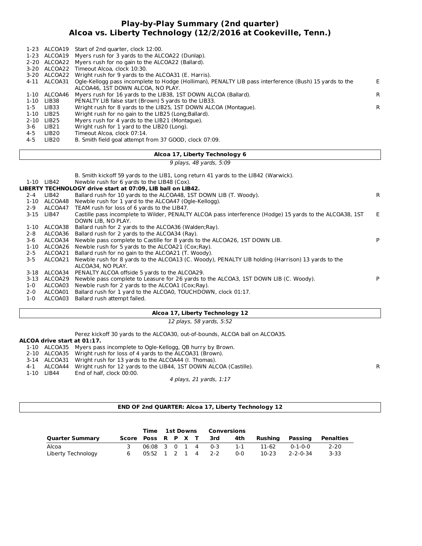#### **Play-by-Play Summary (2nd quarter) Alcoa vs. Liberty Technology (12/2/2016 at Cookeville, Tenn.)**

|          |                   | 1-23 ALCOA19 Start of 2nd quarter, clock 12:00.                                                                     |    |
|----------|-------------------|---------------------------------------------------------------------------------------------------------------------|----|
|          |                   | 1-23 ALCOA19 Myers rush for 3 yards to the ALCOA22 (Dunlap).                                                        |    |
|          |                   | 2-20 ALCOA22 Myers rush for no gain to the ALCOA22 (Ballard).                                                       |    |
|          | 3-20 ALCOA22      | Timeout Alcoa, clock 10:30.                                                                                         |    |
|          |                   | 3-20 ALCOA22 Wright rush for 9 yards to the ALCOA31 (E. Harris).                                                    |    |
|          |                   | 4-11 ALCOA31 Ogle-Kellogg pass incomplete to Hodge (Holliman), PENALTY LIB pass interference (Bush) 15 yards to the | E. |
|          |                   | ALCOA46. IST DOWN ALCOA. NO PLAY.                                                                                   |    |
| 1-10     | ALCOA46           | Myers rush for 16 yards to the LIB38, 1ST DOWN ALCOA (Ballard).                                                     | R. |
| 1-10     | LIB38             | PENALTY LIB false start (Brown) 5 yards to the LIB33.                                                               |    |
| 1-5      | LIB33             | Wright rush for 8 yards to the LIB25, 1ST DOWN ALCOA (Montague).                                                    | R  |
| 1-10     | LIB25             | Wright rush for no gain to the LIB25 (Long; Ballard).                                                               |    |
| $2 - 10$ | LIB25             | Myers rush for 4 yards to the LIB21 (Montaque).                                                                     |    |
| 3-6      | LIB21             | Wright rush for 1 yard to the LIB20 (Long).                                                                         |    |
| 4-5      | LIB20             | Timeout Alcoa, clock 07:14.                                                                                         |    |
| 4-5      | LIB <sub>20</sub> | B. Smith field goal attempt from 37 GOOD, clock 07:09.                                                              |    |

#### **Alcoa 17, Liberty Technology 6**

9 plays, 48 yards, 5:09

B. Smith kickoff 59 yards to the LIB1, Long return 41 yards to the LIB42 (Warwick).

#### 1-10 LIB42 Newble rush for 6 yards to the LIB48 (Cox).

|          |              | LIBERTY TECHNOLOGY drive start at 07:09, LIB ball on LIB42.                                              |    |
|----------|--------------|----------------------------------------------------------------------------------------------------------|----|
| $2 - 4$  | LIB42        | Ballard rush for 10 yards to the ALCOA48, 1ST DOWN LIB (T. Woody).                                       | R. |
|          | 1-10 ALCOA48 | Newble rush for 1 yard to the ALCOA47 (Ogle-Kellogg).                                                    |    |
| $2 - 9$  |              | ALCOA47 TEAM rush for loss of 6 yards to the LIB47.                                                      |    |
|          | 3-15 LIB47   | Castille pass incomplete to Wilder, PENALTY ALCOA pass interference (Hodge) 15 yards to the ALCOA38, 1ST | F. |
|          |              | DOWN LIB. NO PLAY.                                                                                       |    |
| 1-10     | ALCOA38      | Ballard rush for 2 yards to the ALCOA36 (Walden; Ray).                                                   |    |
| $2 - 8$  | ALCOA36      | Ballard rush for 2 yards to the ALCOA34 (Ray).                                                           |    |
| $3-6$    | ALCOA34      | Newble pass complete to Castille for 8 yards to the ALCOA26, 1ST DOWN LIB.                               | P  |
| $1 - 10$ |              | ALCOA26 Newble rush for 5 yards to the ALCOA21 (Cox;Ray).                                                |    |
| $2 - 5$  | ALCOA21      | Ballard rush for no gain to the ALCOA21 (T. Woody).                                                      |    |
| $3-5$    | ALCOA21      | Newble rush for 8 yards to the ALCOA13 (C. Woody), PENALTY LIB holding (Harrison) 13 yards to the        |    |
|          |              | ALCOA34. NO PLAY.                                                                                        |    |
| 3-18     |              | ALCOA34 PENALTY ALCOA offside 5 yards to the ALCOA29.                                                    |    |
| 3-13     | ALCOA29      | Newble pass complete to Leasure for 26 yards to the ALCOA3, 1ST DOWN LIB (C. Woody).                     | P  |
| 1-0      | ALCOA03      | Newble rush for 2 yards to the ALCOA1 (Cox; Ray).                                                        |    |
| $2 - 0$  | ALCOA01      | Ballard rush for 1 yard to the ALCOA0, TOUCHDOWN, clock 01:17.                                           |    |
| $1-0$    | ALCOA03      | Ballard rush attempt failed.                                                                             |    |
|          |              |                                                                                                          |    |

#### **Alcoa 17, Liberty Technology 12**

12 plays, 58 yards, 5:52

Perez kickoff 30 yards to the ALCOA30, out-of-bounds, ALCOA ball on ALCOA35.

#### **ALCOA drive start at 01:17.**

|  | 1-10 ALCOA35 Myers pass incomplete to Ogle-Kellogg, QB hurry by Brown. |
|--|------------------------------------------------------------------------|
|  | 2-10 ALCOA35 Wright rush for loss of 4 yards to the ALCOA31 (Brown).   |
|  |                                                                        |

- 3-14 ALCOA31 Wright rush for 13 yards to the ALCOA44 (I. Thomas).
- 4-1 ALCOA44 Wright rush for 12 yards to the LIB44, 1ST DOWN ALCOA (Castille). <br>1-10 LIB44 End of half, clock 00:00.
- End of half, clock 00:00.

4 plays, 21 yards, 1:17

#### **END OF 2nd QUARTER: Alcoa 17, Liberty Technology 12**

|                        |                    |  | Time 1st Downs    |  | Conversions |                   |         |          |          |           |
|------------------------|--------------------|--|-------------------|--|-------------|-------------------|---------|----------|----------|-----------|
| <b>Quarter Summary</b> | Score Poss R P X T |  |                   |  |             | 3rd               | 4th     | Rushina  | Passing  | Penalties |
| Alcoa                  |                    |  |                   |  |             | 06:08 3 0 1 4 0-3 | $1 - 1$ | 11-62    | በ-1-በ-በ  | $2 - 20$  |
| Liberty Technology     |                    |  | 05:52 1 2 1 4 2-2 |  |             | $0 - 0$           | 10-23   | 2-2-0-34 | $3 - 33$ |           |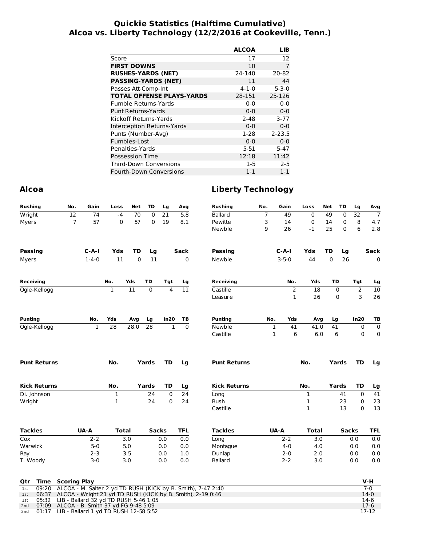#### **Quickie Statistics (Halftime Cumulative) Alcoa vs. Liberty Technology (12/2/2016 at Cookeville, Tenn.)**

|                                  | <b>ALCOA</b> | LIB         |
|----------------------------------|--------------|-------------|
| Score                            | 17           | 12          |
| <b>FIRST DOWNS</b>               | 10           | 7           |
| <b>RUSHES-YARDS (NET)</b>        | 24-140       | 20-82       |
| <b>PASSING-YARDS (NET)</b>       | 11           | 44          |
| Passes Att-Comp-Int              | $4 - 1 - 0$  | $5 - 3 - 0$ |
| <b>TOTAL OFFENSE PLAYS-YARDS</b> | 28-151       | 25-126      |
| <b>Fumble Returns-Yards</b>      | $0 - 0$      | $0 - 0$     |
| Punt Returns-Yards               | $0 - 0$      | $0 - 0$     |
| Kickoff Returns-Yards            | $2 - 48$     | $3 - 77$    |
| Interception Returns-Yards       | $0 - 0$      | $0 - 0$     |
| Punts (Number-Avg)               | $1-28$       | $2 - 23.5$  |
| Fumbles-Lost                     | $0 - 0$      | $0 - 0$     |
| Penalties-Yards                  | $5 - 51$     | $5 - 47$    |
| <b>Possession Time</b>           | 12:18        | 11:42       |
| Third-Down Conversions           | 1-5          | $2 - 5$     |
| <b>Fourth-Down Conversions</b>   | $1 - 1$      | $1 - 1$     |

#### **Alcoa Liberty Technology**

| <b>Rushing</b>               | No.                                       | Gain         | Loss             | Net      | TD           | Lg                      | Avg        | <b>Rushing</b>                                               | No. | Gain              | Loss              | <b>Net</b>  | TD           | Lg            | Avg              |
|------------------------------|-------------------------------------------|--------------|------------------|----------|--------------|-------------------------|------------|--------------------------------------------------------------|-----|-------------------|-------------------|-------------|--------------|---------------|------------------|
| Wright                       | 12                                        | 74           | $-4$             | 70       | $\mathbf 0$  | 21                      | 5.8        | <b>Ballard</b>                                               | 7   | 49                | $\mathbf 0$       | 49          | $\mathbf 0$  | 32            | $\overline{7}$   |
| Myers                        | $\overline{7}$                            | 57           | 0                | 57       | 0            | 19                      | 8.1        | Pewitte                                                      | 3   | 14                | 0                 | 14          | 0            | 8             | 4.7              |
|                              |                                           |              |                  |          |              |                         |            | Newble                                                       | 9   | 26                | $-1$              | 25          | $\mathbf 0$  | 6             | 2.8              |
| <b>Passing</b>               |                                           | $C-A-I$      | Yds              | TD       | Lg           |                         | Sack       | <b>Passing</b>                                               |     | $C - A - I$       | Yds               | <b>TD</b>   | Lg           |               | Sack             |
| Myers                        |                                           | $1 - 4 - 0$  | 11               | $\Omega$ | 11           |                         | 0          | Newble                                                       |     | $3 - 5 - 0$       | 44                | $\mathbf 0$ | 26           |               | 0                |
| <b>Receiving</b>             |                                           |              | No.              | Yds      | TD           | Tgt                     | Lg         | <b>Receiving</b>                                             |     | No.               | Yds               |             | TD           | Tgt           | Lg               |
| Ogle-Kellogg                 |                                           |              | $\mathbf{1}$     | 11       | $\mathbf 0$  | $\overline{\mathbf{4}}$ | 11         | Castille                                                     |     | 2                 | 18                |             | 0            | 2             | 10               |
|                              |                                           |              |                  |          |              |                         |            | Leasure                                                      |     | $\mathbf{1}$      | 26                |             | 0            | 3             | 26               |
| <b>Punting</b>               |                                           | No.          | Yds              | Avg      | Lg           | In20                    | ТB         | <b>Punting</b>                                               | No. | Yds               | Avg               |             | Lg           | In20          | TВ               |
| Ogle-Kellogg                 |                                           | $\mathbf{1}$ | 28               | 28.0     | 28           | $\mathbf{1}$            | $\Omega$   | Newble                                                       |     | $\mathbf 1$<br>41 | 41.0              |             | 41           | 0             | $\pmb{0}$        |
|                              |                                           |              |                  |          |              |                         |            | Castille                                                     |     | $\mathbf{1}$<br>6 | 6.0               |             | 6            | $\mathbf 0$   | 0                |
| <b>Punt Returns</b>          |                                           |              | No.              |          | Yards        | <b>TD</b>               | Lg         | <b>Punt Returns</b>                                          |     |                   | No.               |             | Yards        | <b>TD</b>     | Lg               |
|                              |                                           |              |                  |          |              |                         |            |                                                              |     |                   |                   |             |              |               |                  |
| <b>Kick Returns</b>          |                                           |              | No.              |          | Yards        | TD                      | Lg         | <b>Kick Returns</b>                                          |     |                   | No.               |             | Yards        | TD            | Lg               |
| Di. Johnson                  |                                           |              | $\mathbf 1$<br>1 |          | 24<br>24     | 0<br>0                  | 24         | Long                                                         |     |                   | $\mathbf 1$       |             | 41<br>23     | 0             | $\overline{41}$  |
| Wright                       |                                           |              |                  |          |              |                         | 24         | Bush<br>Castille                                             |     |                   | 1<br>$\mathbf{1}$ |             | 13           | 0<br>$\Omega$ | 23<br>13         |
| <b>Tackles</b>               |                                           | <b>UA-A</b>  |                  | Total    | <b>Sacks</b> |                         | <b>TFL</b> | <b>Tackles</b>                                               |     | <b>UA-A</b>       | <b>Total</b>      |             | <b>Sacks</b> |               | TFL              |
| Cox                          |                                           | $2 - 2$      |                  | 3.0      |              | 0.0                     | 0.0        | Long                                                         |     | $2 - 2$           | 3.0               |             |              | 0.0           | 0.0              |
| Warwick                      |                                           | $5 - 0$      |                  | 5.0      |              | 0.0                     | 0.0        | Montague                                                     |     | $4 - 0$           | 4.0               |             |              | 0.0           | 0.0              |
| Ray                          |                                           | $2 - 3$      |                  | 3.5      |              | 0.0                     | 1.0        | Dunlap                                                       |     | $2 - 0$           | 2.0               |             |              | 0.0           | 0.0              |
| T. Woody                     |                                           | $3 - 0$      |                  | 3.0      |              | 0.0                     | 0.0        | <b>Ballard</b>                                               |     | $2 - 2$           | 3.0               |             |              | 0.0           | 0.0              |
| Time<br>Qtr                  | <b>Scoring Play</b>                       |              |                  |          |              |                         |            |                                                              |     |                   |                   |             |              |               | V-H              |
| 09:20<br>1st                 |                                           |              |                  |          |              |                         |            | ALCOA - M. Salter 2 yd TD RUSH (KICK by B. Smith), 7-47 2:40 |     |                   |                   |             |              |               | $7-0$            |
| 06:37<br>1st<br>05:32<br>1st | LIB - Ballard 32 yd TD RUSH 5-46 1:05     |              |                  |          |              |                         |            | ALCOA - Wright 21 yd TD RUSH (KICK by B. Smith), 2-19 0:46   |     |                   |                   |             |              |               | $14-0$<br>$14-6$ |
| 2 <sub>nd</sub>              | 07:09 ALCOA - B. Smith 37 yd FG 9-48 5:09 |              |                  |          |              |                         |            |                                                              |     |                   |                   |             |              |               | $17-6$           |

2nd 01:17 LIB - Ballard 1 yd TD RUSH 12-58 5:52 17-12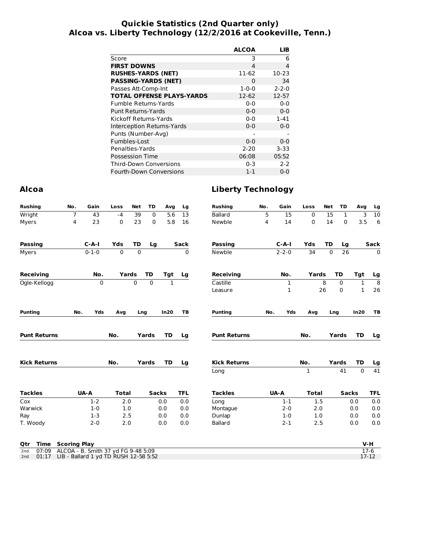#### **Quickie Statistics (2nd Quarter only) Alcoa vs. Liberty Technology (12/2/2016 at Cookeville, Tenn.)**

|                                  | <b>ALCOA</b> | LIB         |
|----------------------------------|--------------|-------------|
| Score                            | 3            | 6           |
| <b>FIRST DOWNS</b>               | 4            | 4           |
| <b>RUSHES-YARDS (NET)</b>        | 11-62        | $10-23$     |
| <b>PASSING-YARDS (NET)</b>       | $\Omega$     | 34          |
| Passes Att-Comp-Int              | $1 - 0 - 0$  | $2 - 2 - 0$ |
| <b>TOTAL OFFENSE PLAYS-YARDS</b> | 12-62        | 12-57       |
| Fumble Returns-Yards             | $0 - 0$      | $0 - 0$     |
| <b>Punt Returns-Yards</b>        | $0 - 0$      | $0 - 0$     |
| Kickoff Returns-Yards            | $0 - 0$      | $1 - 41$    |
| Interception Returns-Yards       | $0 - 0$      | $0 - 0$     |
| Punts (Number-Avg)               |              |             |
| Fumbles-Lost                     | $0 - 0$      | $0 - 0$     |
| Penalties-Yards                  | $2 - 20$     | $3 - 33$    |
| <b>Possession Time</b>           | 06:08        | 05:52       |
| Third-Down Conversions           | $0 - 3$      | $2 - 2$     |
| <b>Fourth-Down Conversions</b>   | $1 - 1$      | 0-0         |

#### **Alcoa Liberty Technology**

| <b>Rushing</b>      | No.            | Gain        | Loss         | <b>Net</b>  | TD           | Avg          | Lg          | <b>Rushing</b>      | No. | Gain        | Loss         | <b>Net</b> | <b>TD</b>    | Avg          | Lg              |
|---------------------|----------------|-------------|--------------|-------------|--------------|--------------|-------------|---------------------|-----|-------------|--------------|------------|--------------|--------------|-----------------|
| Wright              | $\overline{7}$ | 43          | $-4$         | 39          | $\mathbf 0$  | 5.6          | 13          | <b>Ballard</b>      | 5   | 15          | 0            | 15         | $\mathbf{1}$ | 3            | 10              |
| Myers               | 4              | 23          | 0            | 23          | 0            | 5.8          | 16          | Newble              | 4   | 14          | 0            | 14         | $\mathbf 0$  | 3.5          | 6               |
| <b>Passing</b>      |                | $C-A-I$     | Yds          | TD          | Lg           |              | <b>Sack</b> | <b>Passing</b>      |     | $C-A-I$     | Yds          | TD         | Lg           |              | <b>Sack</b>     |
| Myers               |                | $0 - 1 - 0$ | $\mathbf 0$  | $\mathbf 0$ |              |              | 0           | Newble              |     | $2 - 2 - 0$ | 34           | 0          | 26           |              | $\mathbf 0$     |
| <b>Receiving</b>    |                | No.         |              | Yards       | <b>TD</b>    | Tgt          | Lg          | <b>Receiving</b>    |     | No.         | Yards        |            | <b>TD</b>    | Tgt          | Lg              |
| Ogle-Kellogg        |                | $\mathbf 0$ |              | 0           | 0            | $\mathbf{1}$ |             | Castille            |     | $\mathbf 1$ |              | 8          | $\mathbf 0$  | $\mathbf{1}$ | $\overline{8}$  |
|                     |                |             |              |             |              |              |             | Leasure             |     | 1           |              | 26         | 0            | $\mathbf{1}$ | 26              |
| <b>Punting</b>      | No.            | Yds         | Avg          |             | Lng          | In20         | TB          | <b>Punting</b>      | No. | Yds         | Avg          |            | Lng          | In20         | TB              |
| <b>Punt Returns</b> |                |             | No.          |             | Yards        | TD           | Lg          | <b>Punt Returns</b> |     |             | No.          |            | Yards        | TD           | Lg              |
| <b>Kick Returns</b> |                |             | No.          |             | Yards        | TD           | Lg          | <b>Kick Returns</b> |     |             | No.          |            | Yards        | TD           | Lg              |
|                     |                |             |              |             |              |              |             | Long                |     |             | 1            |            | 41           | $\mathbf{0}$ | $\overline{41}$ |
| <b>Tackles</b>      |                | <b>UA-A</b> | <b>Total</b> |             | <b>Sacks</b> |              | <b>TFL</b>  | <b>Tackles</b>      |     | UA-A        | <b>Total</b> |            | <b>Sacks</b> |              | <b>TFL</b>      |
| Cox                 |                | $1-2$       | 2.0          |             |              | 0.0          | 0.0         | Long                |     | $1 - 1$     | 1.5          |            |              | 0.0          | 0.0             |
| Warwick             |                | $1 - 0$     | 1.0          |             |              | 0.0          | 0.0         | Montague            |     | $2 - 0$     | 2.0          |            |              | 0.0          | 0.0             |
| Ray                 |                | $1-3$       | 2.5          |             |              | 0.0          | 0.0         | Dunlap              |     | $1 - 0$     | 1.0          |            |              | 0.0          | 0.0             |
| T. Woody            |                | $2 - 0$     | 2.0          |             |              | 0.0          | 0.0         | <b>Ballard</b>      |     | $2 - 1$     | 2.5          |            |              | 0.0          | 0.0             |

|  | <b>Qtr Time Scoring Play</b>                    | V-H       |
|--|-------------------------------------------------|-----------|
|  | 2nd 07:09 ALCOA - B. Smith 37 yd FG 9-48 5:09   |           |
|  | 2nd 01:17 LIB - Ballard 1 yd TD RUSH 12-58 5:52 | $17 - 12$ |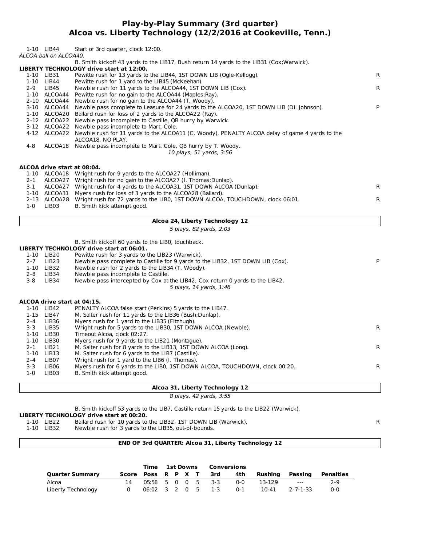#### **Play-by-Play Summary (3rd quarter) Alcoa vs. Liberty Technology (12/2/2016 at Cookeville, Tenn.)**

|              | 1-10 LIB44<br>ALCOA ball on ALCOA40.      | Start of 3rd quarter, clock 12:00.                                                                                     |              |
|--------------|-------------------------------------------|------------------------------------------------------------------------------------------------------------------------|--------------|
|              |                                           | B. Smith kickoff 43 yards to the LIB17, Bush return 14 yards to the LIB31 (Cox; Warwick).                              |              |
|              |                                           | LIBERTY TECHNOLOGY drive start at 12:00.                                                                               |              |
|              | 1-10 LIB31                                | Pewitte rush for 13 yards to the LIB44, 1ST DOWN LIB (Ogle-Kellogg).                                                   | $\mathsf{R}$ |
|              | 1-10 LIB44                                | Pewitte rush for 1 yard to the LIB45 (McKeehan).                                                                       |              |
| $2-9$        | LIB45<br>1-10 ALCOA44                     | Newble rush for 11 yards to the ALCOA44, 1ST DOWN LIB (Cox).<br>Pewitte rush for no gain to the ALCOA44 (Maples; Ray). | $\mathsf{R}$ |
|              | 2-10 ALCOA44                              | Newble rush for no gain to the ALCOA44 (T. Woody).                                                                     |              |
|              | 3-10 ALCOA44                              | Newble pass complete to Leasure for 24 yards to the ALCOA20, 1ST DOWN LIB (Di. Johnson).                               | P            |
|              | 1-10 ALCOA20                              | Ballard rush for loss of 2 yards to the ALCOA22 (Ray).                                                                 |              |
|              |                                           | 2-12 ALCOA22 Newble pass incomplete to Castille, QB hurry by Warwick.                                                  |              |
|              |                                           | 3-12 ALCOA22 Newble pass incomplete to Mart. Cole.                                                                     |              |
|              |                                           | 4-12 ALCOA22 Newble rush for 11 yards to the ALCOA11 (C. Woody), PENALTY ALCOA delay of game 4 yards to the            |              |
|              |                                           | ALCOA18, NO PLAY.                                                                                                      |              |
| 4-8          |                                           | ALCOA18 Newble pass incomplete to Mart. Cole, QB hurry by T. Woody.                                                    |              |
|              |                                           | 10 plays, 51 yards, 3:56                                                                                               |              |
|              | ALCOA drive start at 08:04.               |                                                                                                                        |              |
|              |                                           | 1-10 ALCOA18 Wright rush for 9 yards to the ALCOA27 (Holliman).                                                        |              |
| 2-1          |                                           | ALCOA27 Wright rush for no gain to the ALCOA27 (I. Thomas; Dunlap).                                                    |              |
| 3-1          |                                           | ALCOA27 Wright rush for 4 yards to the ALCOA31, 1ST DOWN ALCOA (Dunlap).                                               | R            |
|              | 1-10 ALCOA31                              | Myers rush for loss of 3 yards to the ALCOA28 (Ballard).                                                               |              |
|              |                                           | 2-13 ALCOA28 Wright rush for 72 yards to the LIB0, 1ST DOWN ALCOA, TOUCHDOWN, clock 06:01.                             | R            |
| $1-0$        | LIB03                                     | B. Smith kick attempt good.                                                                                            |              |
|              |                                           | Alcoa 24, Liberty Technology 12                                                                                        |              |
|              |                                           | 5 plays, 82 yards, 2:03                                                                                                |              |
|              |                                           |                                                                                                                        |              |
|              |                                           |                                                                                                                        |              |
|              |                                           | B. Smith kickoff 60 yards to the LIBO, touchback.<br><b>LIBERTY TECHNOLOGY drive start at 06:01.</b>                   |              |
|              | 1-10 LIB20                                | Pewitte rush for 3 yards to the LIB23 (Warwick).                                                                       |              |
| $2 - 7$      | LIB23                                     | Newble pass complete to Castille for 9 yards to the LIB32, 1ST DOWN LIB (Cox).                                         | P            |
|              | 1-10 LIB32                                | Newble rush for 2 yards to the LIB34 (T. Woody).                                                                       |              |
| 2-8          | LIB34                                     | Newble pass incomplete to Castille.                                                                                    |              |
| $3 - 8$      | LIB34                                     | Newble pass intercepted by Cox at the LIB42, Cox return 0 yards to the LIB42.                                          |              |
|              |                                           | 5 plays, 14 yards, 1:46                                                                                                |              |
|              |                                           |                                                                                                                        |              |
|              | ALCOA drive start at 04:15.<br>1-10 LIB42 | PENALTY ALCOA false start (Perkins) 5 yards to the LIB47.                                                              |              |
|              | 1-15 LIB47                                | M. Salter rush for 11 yards to the LIB36 (Bush; Dunlap).                                                               |              |
| $2 - 4$      | LIB36                                     | Myers rush for 1 yard to the LIB35 (Fitzhugh).                                                                         |              |
| $3 - 3$      | LIB35                                     | Wright rush for 5 yards to the LIB30, 1ST DOWN ALCOA (Newble).                                                         | R            |
|              | 1-10 LIB30                                | Timeout Alcoa, clock 02:27.                                                                                            |              |
|              | 1-10 LIB30                                | Myers rush for 9 yards to the LIB21 (Montague).                                                                        |              |
| 2-1          | LIB <sub>21</sub>                         | M. Salter rush for 8 yards to the LIB13, 1ST DOWN ALCOA (Long).                                                        | $\mathsf{R}$ |
| $1 - 10$     | LIB13                                     | M. Salter rush for 6 yards to the LIB7 (Castille).                                                                     |              |
| 2-4          | LIB07                                     | Wright rush for 1 yard to the LIB6 (I. Thomas).                                                                        |              |
| 3-3<br>$1-0$ | LIB06<br>LIB03                            | Myers rush for 6 yards to the LIB0, 1ST DOWN ALCOA, TOUCHDOWN, clock 00:20.<br>B. Smith kick attempt good.             | R            |
|              |                                           |                                                                                                                        |              |
|              |                                           | Alcoa 31, Liberty Technology 12                                                                                        |              |
|              |                                           | 8 plays, 42 yards, 3:55                                                                                                |              |

**LIBERTY TECHNOLOGY drive start at 00:20.** 1-10 Ballard rush for 10 yards to the LIB32, 1ST DOWN LIB (Warwick). R

Newble rush for 3 yards to the LIB35, out-of-bounds.

#### **END OF 3rd QUARTER: Alcoa 31, Liberty Technology 12**

|                        |   |                                                   |                    | Time 1st Downs |  |     | Conversions |         |         |                                   |       |
|------------------------|---|---------------------------------------------------|--------------------|----------------|--|-----|-------------|---------|---------|-----------------------------------|-------|
| <b>Quarter Summary</b> |   |                                                   | Score Poss R P X T |                |  | 3rd | 4th         | Rushina | Passing | Penalties                         |       |
| Alcoa                  |   | 05:58 5 0 0 5 3-3                                 |                    |                |  |     |             | . በ-በ   | 13-129  | and the state of the state of the | $2-9$ |
| Liberty Technology     | 0 | $06:02 \quad 3 \quad 2 \quad 0 \quad 5 \quad 1-3$ |                    |                |  |     |             | 0-1     | 10-41   | 2-7-1-33                          | 0-0   |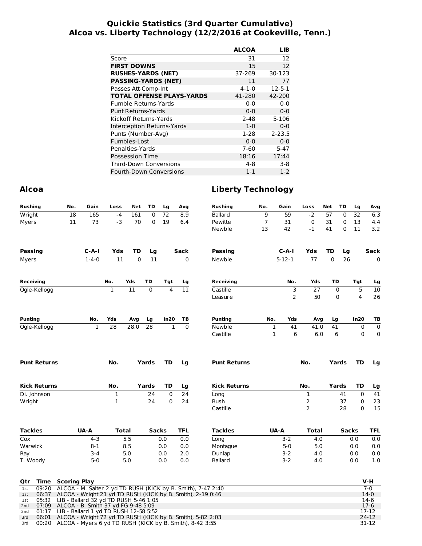#### **Quickie Statistics (3rd Quarter Cumulative) Alcoa vs. Liberty Technology (12/2/2016 at Cookeville, Tenn.)**

|                                  | <b>ALCOA</b> | LIB          |
|----------------------------------|--------------|--------------|
| Score                            | 31           | 12           |
| <b>FIRST DOWNS</b>               | 15           | 12           |
| <b>RUSHES-YARDS (NET)</b>        | 37-269       | 30-123       |
| <b>PASSING-YARDS (NET)</b>       | 11           | 77           |
| Passes Att-Comp-Int              | $4 - 1 - 0$  | $12 - 5 - 1$ |
| <b>TOTAL OFFENSE PLAYS-YARDS</b> | 41-280       | 42-200       |
| <b>Fumble Returns-Yards</b>      | $0 - 0$      | $0 - 0$      |
| Punt Returns-Yards               | $0 - 0$      | $0 - 0$      |
| Kickoff Returns-Yards            | $2 - 48$     | $5 - 106$    |
| Interception Returns-Yards       | $1 - 0$      | $0 - 0$      |
| Punts (Number-Avg)               | $1-28$       | $2 - 23.5$   |
| Fumbles-Lost                     | $0 - 0$      | $0 - 0$      |
| Penalties-Yards                  | $7 - 60$     | $5 - 47$     |
| <b>Possession Time</b>           | 18:16        | 17:44        |
| Third-Down Conversions           | $4-8$        | $3-8$        |
| <b>Fourth-Down Conversions</b>   | $1 - 1$      | $1 - 2$      |

#### **Alcoa Liberty Technology**

| <b>Rushing</b>               | No.                                   | Gain         | Loss         | Net      | TD           | Lg             | Avg             | <b>Rushing</b>                                               | No. | Gain               | Loss                | Net      | TD           | Lg          | Avg            |
|------------------------------|---------------------------------------|--------------|--------------|----------|--------------|----------------|-----------------|--------------------------------------------------------------|-----|--------------------|---------------------|----------|--------------|-------------|----------------|
| Wright                       | 18                                    | 165          | $-4$         | 161      | 0            | 72             | 8.9             | Ballard                                                      | 9   | 59                 | $-2$                | 57       | $\mathbf 0$  | 32          | 6.3            |
| Myers                        | 11                                    | 73           | $-3$         | 70       | 0            | 19             | 6.4             | Pewitte                                                      | 7   | 31                 | 0                   | 31       | 0            | 13          | 4.4            |
|                              |                                       |              |              |          |              |                |                 | Newble                                                       | 13  | 42                 | $-1$                | 41       | 0            | 11          | 3.2            |
| Passing                      |                                       | $C-A-I$      | Yds          | TD       | Lg           |                | Sack            | Passing                                                      |     | C-A-I              | Yds                 | TD       | Lg           |             | Sack           |
| Myers                        |                                       | $1 - 4 - 0$  | 11           | $\Omega$ | 11           |                | 0               | Newble                                                       |     | $5 - 12 - 1$       | 77                  | $\Omega$ | 26           |             | $\mathbf{0}$   |
| <b>Receiving</b>             |                                       |              | No.          | Yds      | TD           | Tgt            | Lg              | <b>Receiving</b>                                             |     | No.                | Yds                 |          | TD           | Tgt         | Lg             |
| Ogle-Kellogg                 |                                       |              | $\mathbf 1$  | 11       | $\mathbf 0$  | $\overline{4}$ | $\overline{11}$ | Castille                                                     |     | 3                  | 27                  |          | 0            | 5           | 10             |
|                              |                                       |              |              |          |              |                |                 | Leasure                                                      |     | $\overline{2}$     | 50                  |          | 0            | 4           | 26             |
| <b>Punting</b>               |                                       | No.          | Yds          | Avg      | Lg           | In20           | ТB              | <b>Punting</b>                                               | No. | Yds                | Avg                 |          | Lg           | In20        | ТB             |
| Ogle-Kellogg                 |                                       | $\mathbf{1}$ | 28           | 28.0     | 28           | $\mathbf{1}$   | $\Omega$        | Newble                                                       |     | $\mathbf{1}$<br>41 | 41.0                |          | 41           | $\pmb{0}$   | $\pmb{0}$      |
|                              |                                       |              |              |          |              |                |                 | Castille                                                     |     | $\mathbf 1$<br>6   | 6.0                 |          | 6            | $\mathbf 0$ | 0              |
| <b>Punt Returns</b>          |                                       |              | No.          |          | Yards        | TD             | Lg              | <b>Punt Returns</b>                                          |     |                    | No.                 |          | Yards        | TD          | Lg             |
|                              |                                       |              |              |          |              |                |                 |                                                              |     |                    |                     |          |              |             |                |
| <b>Kick Returns</b>          |                                       |              | No.          |          | Yards        | TD             | Lg              | <b>Kick Returns</b>                                          |     |                    | No.                 |          | Yards        | TD          | Lg             |
| Di. Johnson                  |                                       |              | $\mathbf 1$  |          | 24           | $\mathbf 0$    | 24              | Long                                                         |     |                    | 1                   |          | 41           | $\mathbf 0$ | 41             |
| Wright                       |                                       |              | 1            |          | 24           | 0              | 24              | Bush<br>Castille                                             |     |                    | $\overline{c}$<br>2 |          | 37<br>28     | 0<br>0      | 23<br>15       |
| <b>Tackles</b>               |                                       | UA-A         | <b>Total</b> |          | <b>Sacks</b> |                | <b>TFL</b>      | <b>Tackles</b>                                               |     | UA-A               | Total               |          | <b>Sacks</b> |             | <b>TFL</b>     |
| Cox                          |                                       | $4 - 3$      |              | 5.5      |              | 0.0            | 0.0             | Long                                                         |     | $3 - 2$            | 4.0                 |          |              | 0.0         | 0.0            |
| Warwick                      |                                       | $8 - 1$      |              | 8.5      |              | 0.0            | 0.0             | Montague                                                     |     | $5 - 0$            | 5.0                 |          |              | 0.0         | 0.0            |
| Ray                          |                                       | 3-4          |              | 5.0      |              | 0.0            | 2.0             | Dunlap                                                       |     | $3-2$              | 4.0                 |          |              | 0.0         | 0.0            |
| T. Woody                     |                                       | $5-0$        |              | 5.0      |              | 0.0            | 0.0             | <b>Ballard</b>                                               |     | $3-2$              | 4.0                 |          |              | 0.0         | 1.0            |
| Time<br>Qtr                  | <b>Scoring Play</b>                   |              |              |          |              |                |                 |                                                              |     |                    |                     |          |              |             | V-H            |
| 09:20<br>1st                 |                                       |              |              |          |              |                |                 | ALCOA - M. Salter 2 yd TD RUSH (KICK by B. Smith), 7-47 2:40 |     |                    |                     |          |              |             | $7-0$          |
| 06:37<br>1st<br>05:32<br>1st | LIB - Ballard 32 yd TD RUSH 5-46 1:05 |              |              |          |              |                |                 | ALCOA - Wright 21 yd TD RUSH (KICK by B. Smith), 2-19 0:46   |     |                    |                     |          |              |             | $14-0$<br>14-6 |
| 07:09<br>2 <sub>nd</sub>     | ALCOA - B. Smith 37 yd FG 9-48 5:09   |              |              |          |              |                |                 |                                                              |     |                    |                     |          |              |             | $17-6$         |
| 01:17<br>2 <sub>nd</sub>     | LIB - Ballard 1 yd TD RUSH 12-58 5:52 |              |              |          |              |                |                 |                                                              |     |                    |                     |          |              |             | 17-12          |

3rd 06:01 ALCOA - Wright 72 yd TD RUSH (KICK by B. Smith), 5-82 2:03 24-12 3rd 00:20 ALCOA - Myers 6 yd TD RUSH (KICK by B. Smith), 8-42 3:55 31-12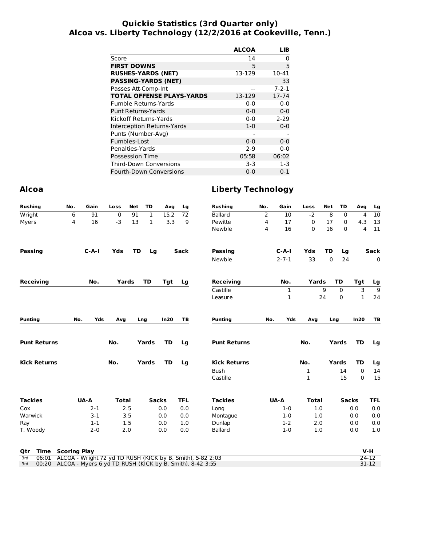#### **Quickie Statistics (3rd Quarter only) Alcoa vs. Liberty Technology (12/2/2016 at Cookeville, Tenn.)**

| <b>ALCOA</b> | <b>LIB</b>  |
|--------------|-------------|
| 14           | 0           |
| 5            | 5           |
| 13-129       | 10-41       |
|              | 33          |
|              | $7 - 2 - 1$ |
| 13-129       | 17-74       |
| $0 - 0$      | $0 - 0$     |
| $0 - 0$      | $0 - 0$     |
| $0 - 0$      | $2 - 29$    |
| $1 - 0$      | $0 - 0$     |
|              |             |
| $0 - 0$      | $0 - 0$     |
| $2-9$        | $0 - 0$     |
| 05:58        | 06:02       |
| $3-3$        | $1-3$       |
| $0 - 0$      | $0 - 1$     |
|              |             |

## **Alcoa Liberty Technology**

| <b>Rushing</b>      | No.                 | Gain                                                     | Loss         | <b>Net</b> | <b>TD</b>    | Avg          | Lg         | <b>Rushing</b>                                             | No. | Gain        | Loss         | <b>Net</b> | TD           | Avg          | Lg         |
|---------------------|---------------------|----------------------------------------------------------|--------------|------------|--------------|--------------|------------|------------------------------------------------------------|-----|-------------|--------------|------------|--------------|--------------|------------|
| Wright              | 6                   | 91                                                       | 0            | 91         | $\mathbf{1}$ | 15.2         | 72         | <b>Ballard</b>                                             | 2   | 10          | $-2$         | 8          | $\mathbf 0$  | 4            | 10         |
| Myers               | 4                   | 16                                                       | $-3$         | 13         | $\mathbf{1}$ | 3.3          | 9          | Pewitte                                                    | 4   | 17          | 0            | 17         | $\mathbf 0$  | 4.3          | 13         |
|                     |                     |                                                          |              |            |              |              |            | Newble                                                     | 4   | 16          | 0            | 16         | $\Omega$     | 4            | 11         |
| <b>Passing</b>      |                     | $C - A - I$                                              | Yds          | <b>TD</b>  | Lg           |              | Sack       | <b>Passing</b>                                             |     | $C - A - I$ | Yds          | <b>TD</b>  | Lg           |              | Sack       |
|                     |                     |                                                          |              |            |              |              |            | Newble                                                     |     | $2 - 7 - 1$ | 33           | 0          | 24           |              | 0          |
| Receiving           |                     | No.                                                      | Yards        |            | <b>TD</b>    | Tgt          | Lg         | <b>Receiving</b>                                           |     | No.         | Yards        |            | TD           | Tgt          | Lg         |
|                     |                     |                                                          |              |            |              |              |            | Castille                                                   |     | 1           |              | 9          | 0            | 3            | 9          |
|                     |                     |                                                          |              |            |              |              |            | Leasure                                                    |     | 1           |              | 24         | 0            | $\mathbf{1}$ | 24         |
| <b>Punting</b>      | No.                 | Yds                                                      | Avg          |            | Lng          | In20         | TB         | <b>Punting</b>                                             | No. | Yds         | Avq          |            | Lng          | In20         | TB         |
| <b>Punt Returns</b> |                     |                                                          | No.          |            | Yards        | TD           | Lg         | <b>Punt Returns</b>                                        |     |             | No.          |            | Yards        | TD           | Lg         |
| <b>Kick Returns</b> |                     |                                                          | No.          |            | Yards        | TD           | Lg         | <b>Kick Returns</b>                                        |     |             | No.          |            | Yards        | TD           | Lg         |
|                     |                     |                                                          |              |            |              |              |            | <b>Bush</b>                                                |     |             | 1            |            | 14           | 0            | 14         |
|                     |                     |                                                          |              |            |              |              |            | Castille                                                   |     |             | 1            |            | 15           | 0            | 15         |
| <b>Tackles</b>      |                     | UA-A                                                     | <b>Total</b> |            |              | <b>Sacks</b> | <b>TFL</b> | <b>Tackles</b>                                             |     | UA-A        | <b>Total</b> |            | <b>Sacks</b> |              | <b>TFL</b> |
| Cox                 |                     | $2 - 1$                                                  |              | 2.5        |              | 0.0          | 0.0        | Long                                                       |     | $1 - 0$     | 1.0          |            |              | 0.0          | 0.0        |
| Warwick             |                     | $3 - 1$                                                  |              | 3.5        |              | 0.0          | 0.0        | Montaque                                                   |     | $1 - 0$     | 1.0          |            |              | 0.0          | 0.0        |
| Ray                 |                     | $1 - 1$                                                  |              | 1.5        |              | 0.0          | 1.0        | Dunlap                                                     |     | $1 - 2$     | 2.0          |            |              | 0.0          | 0.0        |
| T. Woody            |                     | $2 - 0$                                                  |              | 2.0        |              | 0.0          | 0.0        | <b>Ballard</b>                                             |     | $1 - 0$     | 1.0          |            |              | 0.0          | 1.0        |
| Time<br>Qtr         | <b>Scoring Play</b> |                                                          |              |            |              |              |            |                                                            |     |             |              |            |              | $V-H$        |            |
| 06:01<br>3rd        |                     |                                                          |              |            |              |              |            | ALCOA - Wright 72 yd TD RUSH (KICK by B. Smith), 5-82 2:03 |     |             |              |            |              | $24 - 12$    |            |
| 00:20<br>3rd        |                     | ALCOA - Myers 6 yd TD RUSH (KICK by B. Smith), 8-42 3:55 |              |            |              |              |            |                                                            |     |             |              |            |              | $31 - 12$    |            |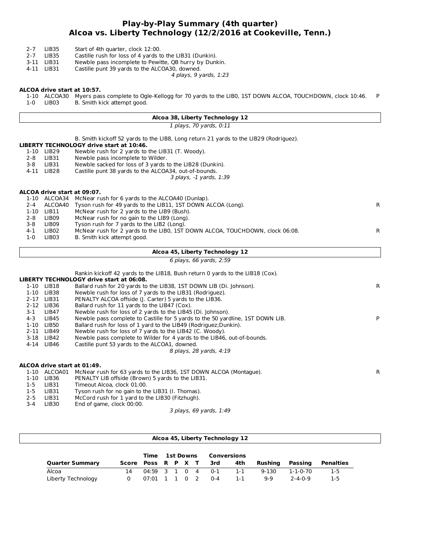#### **Play-by-Play Summary (4th quarter) Alcoa vs. Liberty Technology (12/2/2016 at Cookeville, Tenn.)**

- 2-7 LIB35 Start of 4th quarter, clock 12:00.<br>2-7 LIB35 Castille rush for loss of 4 yards to
- 2-7 LIB35 Castille rush for loss of 4 yards to the LIB31 (Dunkin).
- 3-11 LIB31 Newble pass incomplete to Pewitte, QB hurry by Dunkin.
- 4-11 LIB31 Castille punt 39 yards to the ALCOA30, downed.

4 plays, 9 yards, 1:23

#### **ALCOA drive start at 10:57.**

1-10 ALCOA30 Myers pass complete to Ogle-Kellogg for 70 yards to the LIB0, 1ST DOWN ALCOA, TOUCHDOWN, clock 10:46. P 1-0 LIB03 B. Smith kick attempt good.

#### **Alcoa 38, Liberty Technology 12**

1 plays, 70 yards, 0:11

**LIBERTY TECHNOLOGY drive start at 10:46.** 3 plays, -1 yards, 1:39 **ALCOA drive start at 09:07. Alcoa 45, Liberty Technology 12** 6 plays, 66 yards, 2:59 B. Smith kickoff 52 yards to the LIB8, Long return 21 yards to the LIB29 (Rodriguez). 1-10 LIB29 Newble rush for 2 yards to the LIB31 (T. Woody).<br>2-8 LIB31 Newble pass incomplete to Wilder. LIB31 Newble pass incomplete to Wilder.<br>1981 Newble sacked for loss of 3 vards t 3-8 LIB31 Newble sacked for loss of 3 yards to the LIB28 (Dunkin).<br>4-11 LIB28 Castille punt 38 yards to the ALCOA34, out-of-bounds. Castille punt 38 yards to the ALCOA34, out-of-bounds. 1-10 ALCOA34 McNear rush for 6 yards to the ALCOA40 (Dunlap). 2-4 ALCOA40 Tyson rush for 49 yards to the LIB11, 1ST DOWN ALCOA (Long). The controller are controllered as the R<br>1-10 LIB11 McNear rush for 2 yards to the LIB9 (Bush). McNear rush for 2 yards to the LIB9 (Bush). 2-8 LIB09 McNear rush for no gain to the LIB9 (Long).<br>3-8 LIB09 Tyson rush for 7 vards to the LIB2 (Long). 3-8 LIB09 Tyson rush for 7 yards to the LIB2 (Long). 4-1 LIB02 McNear rush for 2 yards to the LIB0, 1ST DOWN ALCOA, TOUCHDOWN, clock 06:08. 1-0 LIB03 B. Smith kick attempt good. Rankin kickoff 42 yards to the LIB18, Bush return 0 yards to the LIB18 (Cox).

#### **LIBERTY TECHNOLOGY drive start at 06:08.** 8 plays, 28 yards, 4:19 **ALCOA drive start at 01:49.** 1-10 LIB18 Ballard rush for 20 yards to the LIB38, 1ST DOWN LIB (Di. Johnson). R 1-10 LIB38 Newble rush for loss of 7 yards to the LIB31 (Rodriguez).<br>2-17 LIB31 PENALTY ALCOA offside (I. Carter) 5 vards to the LIB36. 2-17 LIB31 PENALTY ALCOA offside (J. Carter) 5 yards to the LIB36.<br>2-12 LIB36 Ballard rush for 11 yards to the LIB47 (Cox). LIB36 Ballard rush for 11 yards to the LIB47 (Cox).<br>LIB47 Newble rush for loss of 2 yards to the LIB45 3-1 LIB47 Newble rush for loss of 2 yards to the LIB45 (Di. Johnson). 4-3 LIB45 Newble pass complete to Castille for 5 yards to the 50 yardline, 1ST DOWN LIB. 1-10 LIB50 Ballard rush for loss of 1 yard to the LIB49 (Rodriguez;Dunkin). 2-11 LIB49 Newble rush for loss of 7 yards to the LIB42 (C. Woody). 3-18 LIB42 Newble pass complete to Wilder for 4 yards to the LIB46, out-of-bounds.<br>4-14 LIB46 Castille punt 53 yards to the ALCOA1, downed. Castille punt 53 yards to the ALCOA1, downed. 1-10 ALCOA01 McNear rush for 63 yards to the LIB36, 1ST DOWN ALCOA (Montague). R

3 plays, 69 yards, 1:49 1-10 LIB36 PENALTY LIB offside (Brown) 5 yards to the LIB31. 1-5 LIB31 Timeout Alcoa, clock 01:00. 1-5 LIB31 Tyson rush for no gain to the LIB31 (I. Thomas). 2-5 LIB31 McCord rush for 1 yard to the LIB30 (Fitzhugh). 3-4 LIB30 End of game, clock 00:00.

|                        |                    |                 |  |                  | Alcoa 45, Liberty Technology 12 |             |           |                 |           |
|------------------------|--------------------|-----------------|--|------------------|---------------------------------|-------------|-----------|-----------------|-----------|
|                        |                    | Time            |  | <b>1st Downs</b> |                                 | Conversions |           |                 |           |
| <b>Quarter Summary</b> | Score Poss R P X T |                 |  |                  | 3rd                             | 4th         | Rushina   | Passing         | Penalties |
| Alcoa                  | 14                 | $04:59$ 3 1 0 4 |  |                  | $0 - 1$                         | $1 - 1$     | $9 - 130$ | 1-1-0-70        | $1-5$     |
| Liberty Technology     | 0                  | 07:01           |  | - 0              | $0 - 4$                         | 1-1         | $9-9$     | $2 - 4 - 0 - 9$ | 1-5       |